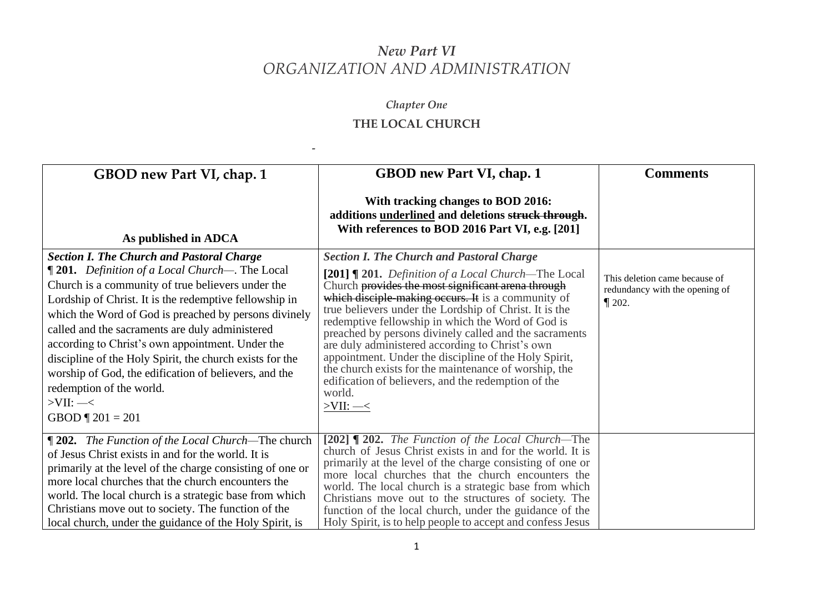## *New Part VI ORGANIZATION AND ADMINISTRATION*

## *Chapter One*

## **THE LOCAL CHURCH**

-

| GBOD new Part VI, chap. 1                                                                                                                                                                                                                                                                                                                                                                                                                                                                                                      | <b>GBOD</b> new Part VI, chap. 1                                                                                                                                                                                                                                                                                                                                                                                                                                                                                                                                                                       | <b>Comments</b>                                                              |
|--------------------------------------------------------------------------------------------------------------------------------------------------------------------------------------------------------------------------------------------------------------------------------------------------------------------------------------------------------------------------------------------------------------------------------------------------------------------------------------------------------------------------------|--------------------------------------------------------------------------------------------------------------------------------------------------------------------------------------------------------------------------------------------------------------------------------------------------------------------------------------------------------------------------------------------------------------------------------------------------------------------------------------------------------------------------------------------------------------------------------------------------------|------------------------------------------------------------------------------|
| As published in ADCA                                                                                                                                                                                                                                                                                                                                                                                                                                                                                                           | With tracking changes to BOD 2016:<br>additions underlined and deletions struck through.<br>With references to BOD 2016 Part VI, e.g. [201]                                                                                                                                                                                                                                                                                                                                                                                                                                                            |                                                                              |
| <b>Section I. The Church and Pastoral Charge</b>                                                                                                                                                                                                                                                                                                                                                                                                                                                                               | <b>Section I. The Church and Pastoral Charge</b>                                                                                                                                                                                                                                                                                                                                                                                                                                                                                                                                                       |                                                                              |
| <b>1201.</b> Definition of a Local Church—. The Local<br>Church is a community of true believers under the<br>Lordship of Christ. It is the redemptive fellowship in<br>which the Word of God is preached by persons divinely<br>called and the sacraments are duly administered<br>according to Christ's own appointment. Under the<br>discipline of the Holy Spirit, the church exists for the<br>worship of God, the edification of believers, and the<br>redemption of the world.<br>$>$ VII: $-$ <<br>GBOD $\P$ 201 = 201 | [201] $\P$ 201. Definition of a Local Church—The Local<br>Church provides the most significant arena through<br>which disciple making occurs. It is a community of<br>true believers under the Lordship of Christ. It is the<br>redemptive fellowship in which the Word of God is<br>preached by persons divinely called and the sacraments<br>are duly administered according to Christ's own<br>appointment. Under the discipline of the Holy Spirit,<br>the church exists for the maintenance of worship, the<br>edification of believers, and the redemption of the<br>world.<br>$>$ VII: $\equiv$ | This deletion came because of<br>redundancy with the opening of<br>$\P$ 202. |
| <b>1202.</b> <i>The Function of the Local Church</i> —The church<br>of Jesus Christ exists in and for the world. It is<br>primarily at the level of the charge consisting of one or<br>more local churches that the church encounters the<br>world. The local church is a strategic base from which<br>Christians move out to society. The function of the<br>local church, under the guidance of the Holy Spirit, is                                                                                                          | [202] $\P$ 202. The Function of the Local Church—The<br>church of Jesus Christ exists in and for the world. It is<br>primarily at the level of the charge consisting of one or<br>more local churches that the church encounters the<br>world. The local church is a strategic base from which<br>Christians move out to the structures of society. The<br>function of the local church, under the guidance of the<br>Holy Spirit, is to help people to accept and confess Jesus                                                                                                                       |                                                                              |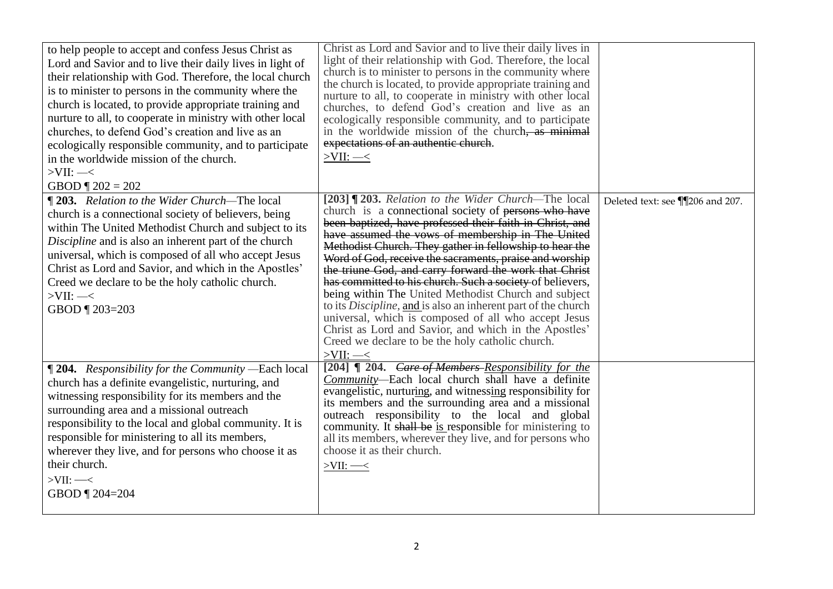| to help people to accept and confess Jesus Christ as<br>Lord and Savior and to live their daily lives in light of<br>their relationship with God. Therefore, the local church<br>is to minister to persons in the community where the<br>church is located, to provide appropriate training and<br>nurture to all, to cooperate in ministry with other local<br>churches, to defend God's creation and live as an<br>ecologically responsible community, and to participate<br>in the worldwide mission of the church.<br>$>$ VII: $-$ <<br>GBOD $\P$ 202 = 202 | Christ as Lord and Savior and to live their daily lives in<br>light of their relationship with God. Therefore, the local<br>church is to minister to persons in the community where<br>the church is located, to provide appropriate training and<br>nurture to all, to cooperate in ministry with other local<br>churches, to defend God's creation and live as an<br>ecologically responsible community, and to participate<br>in the worldwide mission of the church, as minimal<br>expectations of an authentic church.<br>$>$ VII: $\equiv$                                                                                                                                                                                                                                                         |                                  |
|-----------------------------------------------------------------------------------------------------------------------------------------------------------------------------------------------------------------------------------------------------------------------------------------------------------------------------------------------------------------------------------------------------------------------------------------------------------------------------------------------------------------------------------------------------------------|----------------------------------------------------------------------------------------------------------------------------------------------------------------------------------------------------------------------------------------------------------------------------------------------------------------------------------------------------------------------------------------------------------------------------------------------------------------------------------------------------------------------------------------------------------------------------------------------------------------------------------------------------------------------------------------------------------------------------------------------------------------------------------------------------------|----------------------------------|
| <b>1203.</b> Relation to the Wider Church—The local<br>church is a connectional society of believers, being<br>within The United Methodist Church and subject to its<br>Discipline and is also an inherent part of the church<br>universal, which is composed of all who accept Jesus<br>Christ as Lord and Savior, and which in the Apostles'<br>Creed we declare to be the holy catholic church.<br>$>$ VII: $\rightarrow$<br>GBOD ¶ 203=203                                                                                                                  | [203] [203. Relation to the Wider Church-The local<br>church is a connectional society of persons who have<br>been baptized, have professed their faith in Christ, and<br>have assumed the vows of membership in The United<br>Methodist Church. They gather in fellowship to hear the<br>Word of God, receive the sacraments, praise and worship<br>the triune God, and carry forward the work that Christ<br>has committed to his church. Such a society of believers,<br>being within The United Methodist Church and subject<br>to its <i>Discipline</i> , and is also an inherent part of the church<br>universal, which is composed of all who accept Jesus<br>Christ as Lord and Savior, and which in the Apostles'<br>Creed we declare to be the holy catholic church.<br>$>$ VII: $\rightarrow$ | Deleted text: see ¶¶206 and 207. |
| ¶ 204. Responsibility for the Community - Each local<br>church has a definite evangelistic, nurturing, and<br>witnessing responsibility for its members and the<br>surrounding area and a missional outreach<br>responsibility to the local and global community. It is<br>responsible for ministering to all its members,<br>wherever they live, and for persons who choose it as<br>their church.<br>$>$ VII: $\longrightarrow$<br>GBOD ¶ 204=204                                                                                                             | [204] $\blacksquare$ 204. <i>Care of Members-Responsibility for the</i><br>Community-Each local church shall have a definite<br>evangelistic, nurturing, and witnessing responsibility for<br>its members and the surrounding area and a missional<br>outreach responsibility to the local and global<br>community. It shall be is responsible for ministering to<br>all its members, wherever they live, and for persons who<br>choose it as their church.<br>$>$ VII: $\longrightarrow$                                                                                                                                                                                                                                                                                                                |                                  |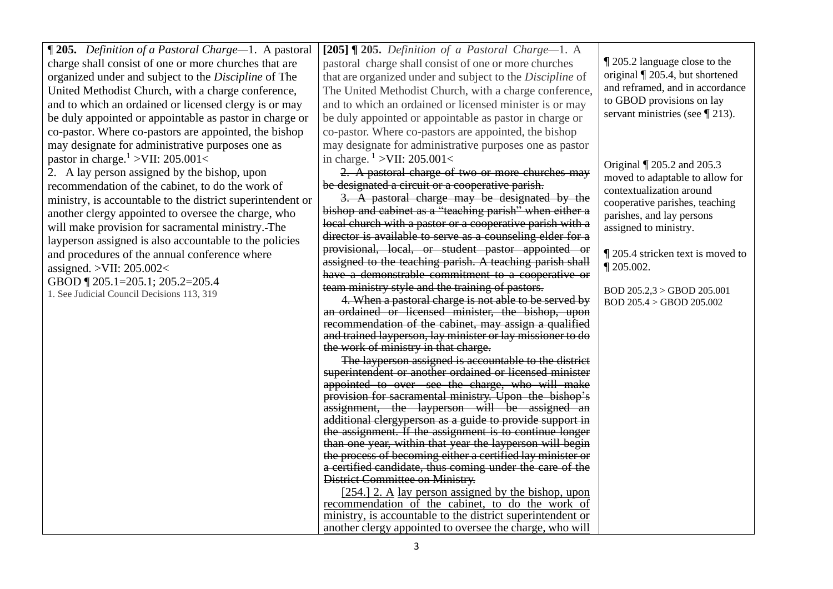| <b>T</b> 205. Definition of a Pastoral Charge—1. A pastoral<br>charge shall consist of one or more churches that are<br>organized under and subject to the <i>Discipline</i> of The<br>United Methodist Church, with a charge conference,<br>and to which an ordained or licensed clergy is or may<br>be duly appointed or appointable as pastor in charge or<br>co-pastor. Where co-pastors are appointed, the bishop                                                                                                                                                                                        | [205] $\P$ 205. Definition of a Pastoral Charge—1. A<br>pastoral charge shall consist of one or more churches<br>that are organized under and subject to the <i>Discipline</i> of<br>The United Methodist Church, with a charge conference,<br>and to which an ordained or licensed minister is or may<br>be duly appointed or appointable as pastor in charge or<br>co-pastor. Where co-pastors are appointed, the bishop                                                                                                                                                                                                                                                                                                                                                                                                                                                                                     | $\parallel$ 205.2 language close to the<br>original $\P$ 205.4, but shortened<br>and reframed, and in accordance<br>to GBOD provisions on lay<br>servant ministries (see $\P$ 213).                                                                                                                |
|---------------------------------------------------------------------------------------------------------------------------------------------------------------------------------------------------------------------------------------------------------------------------------------------------------------------------------------------------------------------------------------------------------------------------------------------------------------------------------------------------------------------------------------------------------------------------------------------------------------|----------------------------------------------------------------------------------------------------------------------------------------------------------------------------------------------------------------------------------------------------------------------------------------------------------------------------------------------------------------------------------------------------------------------------------------------------------------------------------------------------------------------------------------------------------------------------------------------------------------------------------------------------------------------------------------------------------------------------------------------------------------------------------------------------------------------------------------------------------------------------------------------------------------|----------------------------------------------------------------------------------------------------------------------------------------------------------------------------------------------------------------------------------------------------------------------------------------------------|
| may designate for administrative purposes one as<br>pastor in charge. <sup>1</sup> >VII: 205.001<<br>2. A lay person assigned by the bishop, upon<br>recommendation of the cabinet, to do the work of<br>ministry, is accountable to the district superintendent or<br>another clergy appointed to oversee the charge, who<br>will make provision for sacramental ministry. The<br>layperson assigned is also accountable to the policies<br>and procedures of the annual conference where<br>assigned. > VII: $205.002<$<br>GBOD $\P$ 205.1=205.1; 205.2=205.4<br>1. See Judicial Council Decisions 113, 319 | may designate for administrative purposes one as pastor<br>in charge. $\frac{1}{1}$ >VII: 205.001<<br>2. A pastoral charge of two or more churches may<br>be designated a circuit or a cooperative parish.<br>3. A pastoral charge may be designated by the<br>bishop and cabinet as a "teaching parish" when either a<br>local church with a pastor or a cooperative parish with a<br>director is available to serve as a counseling elder for a<br>provisional, local, or student pastor appointed or<br>assigned to the teaching parish. A teaching parish shall<br>have a demonstrable commitment to a cooperative or<br>team ministry style and the training of pastors.<br>4. When a pastoral charge is not able to be served by<br>an ordained or licensed minister, the bishop,<br>recommendation of the cabinet, may assign a qualified<br>and trained layperson, lay minister or lay missioner to do | Original $\P$ 205.2 and 205.3<br>moved to adaptable to allow for<br>contextualization around<br>cooperative parishes, teaching<br>parishes, and lay persons<br>assigned to ministry.<br>205.4 stricken text is moved to<br>$\P$ 205.002.<br>BOD 205.2,3 > GBOD 205.001<br>BOD 205.4 > GBOD 205.002 |

the work of ministry in that charge. The layperson assigned is accountable to the district superintendent or another ordained or licensed minister appointed to over- see the charge, who will make provision for sacramental ministry. Upon the bishop's assignment, the layperson will be assigned an additional clergyperson as a guide to provide support in the assignment. If the assignment is to continue longer than one year, within that year the layperson will begin the process of becoming either a certified lay minister or a certified candidate, thus coming under the care of the District Committee on Ministry.

[254.] 2. A lay person assigned by the bishop, upon recommendation of the cabinet, to do the work of ministry, is accountable to the district superintendent or another clergy appointed to oversee the charge, who will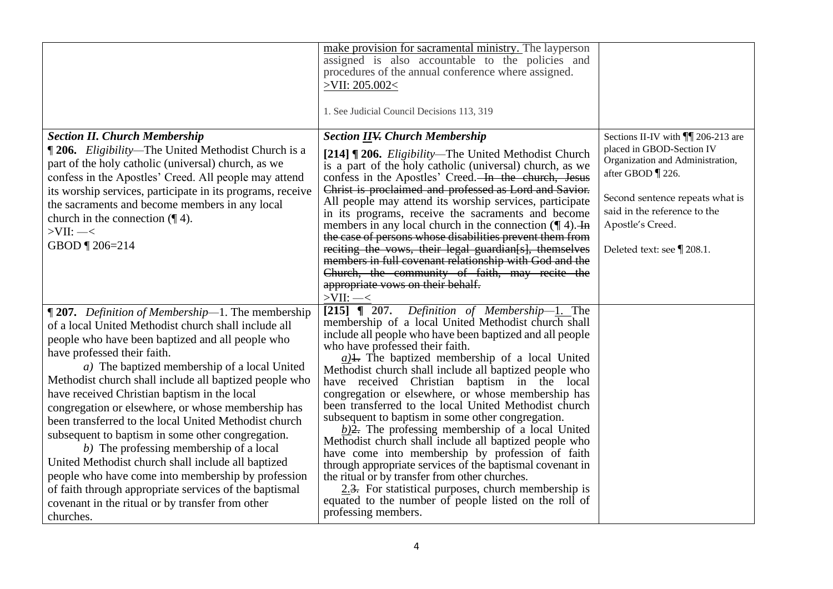|                                                                                                                                                                                                                                                                                                                                                                                                                                                                                                                                                                                                                                                                                                                                                                                                                    | make provision for sacramental ministry. The layperson<br>assigned is also accountable to the policies and<br>procedures of the annual conference where assigned.<br>$>$ VII: 205.002 $<$<br>1. See Judicial Council Decisions 113, 319                                                                                                                                                                                                                                                                                                                                                                                                                                                                                                                                                                                                                                                                                                                              |                                                                                                                                                                                                                                                  |
|--------------------------------------------------------------------------------------------------------------------------------------------------------------------------------------------------------------------------------------------------------------------------------------------------------------------------------------------------------------------------------------------------------------------------------------------------------------------------------------------------------------------------------------------------------------------------------------------------------------------------------------------------------------------------------------------------------------------------------------------------------------------------------------------------------------------|----------------------------------------------------------------------------------------------------------------------------------------------------------------------------------------------------------------------------------------------------------------------------------------------------------------------------------------------------------------------------------------------------------------------------------------------------------------------------------------------------------------------------------------------------------------------------------------------------------------------------------------------------------------------------------------------------------------------------------------------------------------------------------------------------------------------------------------------------------------------------------------------------------------------------------------------------------------------|--------------------------------------------------------------------------------------------------------------------------------------------------------------------------------------------------------------------------------------------------|
| <b>Section II. Church Membership</b><br><b>1206.</b> Eligibility—The United Methodist Church is a<br>part of the holy catholic (universal) church, as we<br>confess in the Apostles' Creed. All people may attend<br>its worship services, participate in its programs, receive<br>the sacraments and become members in any local<br>church in the connection $(\P 4)$ .<br>$>$ VII: $-$ <<br>GBOD ¶ 206=214                                                                                                                                                                                                                                                                                                                                                                                                       | <b>Section IIV. Church Membership</b><br>[214] [206. Eligibility—The United Methodist Church<br>is a part of the holy catholic (universal) church, as we<br>confess in the Apostles' Creed. In the church, Jesus<br>Christ is proclaimed and professed as Lord and Savior.<br>All people may attend its worship services, participate<br>in its programs, receive the sacraments and become<br>members in any local church in the connection $(\P 4)$ . In<br>the case of persons whose disabilities prevent them from<br>reciting the vows, their legal guardian[s], themselves<br>members in full covenant relationship with God and the<br>Church, the community of faith, may recite the<br>appropriate vows on their behalf.<br>$>$ VII: $-\leq$                                                                                                                                                                                                                | Sections II-IV with $\P\P$ 206-213 are<br>placed in GBOD-Section IV<br>Organization and Administration,<br>after GBOD ¶ 226.<br>Second sentence repeats what is<br>said in the reference to the<br>Apostle's Creed.<br>Deleted text: see [208.1. |
| <b>1207.</b> Definition of Membership-1. The membership<br>of a local United Methodist church shall include all<br>people who have been baptized and all people who<br>have professed their faith.<br>a) The baptized membership of a local United<br>Methodist church shall include all baptized people who<br>have received Christian baptism in the local<br>congregation or elsewhere, or whose membership has<br>been transferred to the local United Methodist church<br>subsequent to baptism in some other congregation.<br>b) The professing membership of a local<br>United Methodist church shall include all baptized<br>people who have come into membership by profession<br>of faith through appropriate services of the baptismal<br>covenant in the ritual or by transfer from other<br>churches. | $[215]$   207.<br>Definition of Membership-1. The<br>membership of a local United Methodist church shall<br>include all people who have been baptized and all people<br>who have professed their faith.<br>$a$ ). The baptized membership of a local United<br>Methodist church shall include all baptized people who<br>have received Christian baptism in the local<br>congregation or elsewhere, or whose membership has<br>been transferred to the local United Methodist church<br>subsequent to baptism in some other congregation.<br>$b)$ 2. The professing membership of a local United<br>Methodist church shall include all baptized people who<br>have come into membership by profession of faith<br>through appropriate services of the baptismal covenant in<br>the ritual or by transfer from other churches.<br>2.3. For statistical purposes, church membership is<br>equated to the number of people listed on the roll of<br>professing members. |                                                                                                                                                                                                                                                  |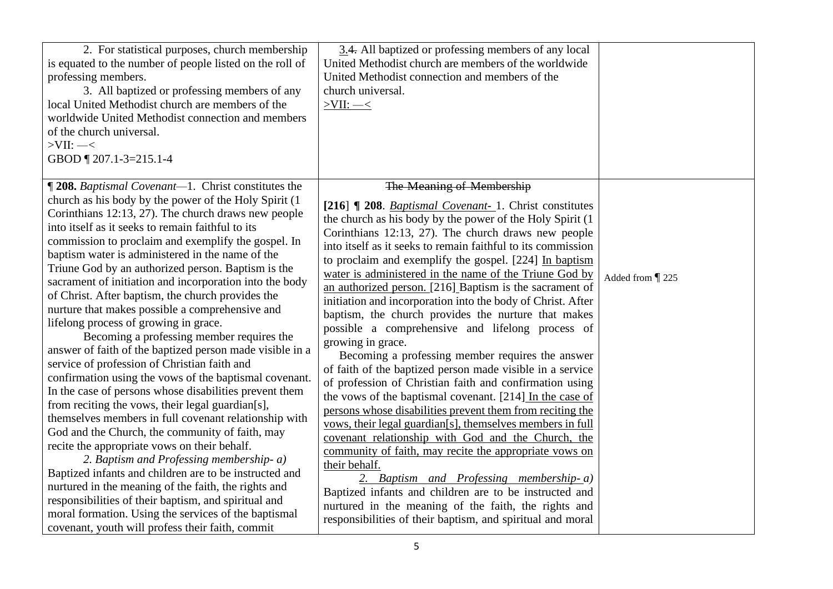| 2. For statistical purposes, church membership<br>is equated to the number of people listed on the roll of<br>professing members.<br>3. All baptized or professing members of any<br>local United Methodist church are members of the<br>worldwide United Methodist connection and members<br>of the church universal.<br>$>$ VII: $-$ <<br>GBOD 1207.1-3=215.1-4                                                                                                                                                                                                                                                                                                                                                                                                                                                                                                                                                                                                                                                                                                                                                                                                                                                                                                                                                                                                                                                                    | 3.4. All baptized or professing members of any local<br>United Methodist church are members of the worldwide<br>United Methodist connection and members of the<br>church universal.<br>$>$ VII: $-\leq$                                                                                                                                                                                                                                                                                                                                                                                                                                                                                                                                                                                                                                                                                                                                                                                                                                                                                                                                                                                                                                                                                                                                                                                     |                  |
|--------------------------------------------------------------------------------------------------------------------------------------------------------------------------------------------------------------------------------------------------------------------------------------------------------------------------------------------------------------------------------------------------------------------------------------------------------------------------------------------------------------------------------------------------------------------------------------------------------------------------------------------------------------------------------------------------------------------------------------------------------------------------------------------------------------------------------------------------------------------------------------------------------------------------------------------------------------------------------------------------------------------------------------------------------------------------------------------------------------------------------------------------------------------------------------------------------------------------------------------------------------------------------------------------------------------------------------------------------------------------------------------------------------------------------------|---------------------------------------------------------------------------------------------------------------------------------------------------------------------------------------------------------------------------------------------------------------------------------------------------------------------------------------------------------------------------------------------------------------------------------------------------------------------------------------------------------------------------------------------------------------------------------------------------------------------------------------------------------------------------------------------------------------------------------------------------------------------------------------------------------------------------------------------------------------------------------------------------------------------------------------------------------------------------------------------------------------------------------------------------------------------------------------------------------------------------------------------------------------------------------------------------------------------------------------------------------------------------------------------------------------------------------------------------------------------------------------------|------------------|
| ¶ 208. Baptismal Covenant-1. Christ constitutes the<br>church as his body by the power of the Holy Spirit (1)<br>Corinthians 12:13, 27). The church draws new people<br>into itself as it seeks to remain faithful to its<br>commission to proclaim and exemplify the gospel. In<br>baptism water is administered in the name of the<br>Triune God by an authorized person. Baptism is the<br>sacrament of initiation and incorporation into the body<br>of Christ. After baptism, the church provides the<br>nurture that makes possible a comprehensive and<br>lifelong process of growing in grace.<br>Becoming a professing member requires the<br>answer of faith of the baptized person made visible in a<br>service of profession of Christian faith and<br>confirmation using the vows of the baptismal covenant.<br>In the case of persons whose disabilities prevent them<br>from reciting the vows, their legal guardian[s],<br>themselves members in full covenant relationship with<br>God and the Church, the community of faith, may<br>recite the appropriate vows on their behalf.<br>2. Baptism and Professing membership-a)<br>Baptized infants and children are to be instructed and<br>nurtured in the meaning of the faith, the rights and<br>responsibilities of their baptism, and spiritual and<br>moral formation. Using the services of the baptismal<br>covenant, youth will profess their faith, commit | The Meaning of Membership<br>[216] ¶ 208. <i>Baptismal Covenant</i> -1. Christ constitutes<br>the church as his body by the power of the Holy Spirit (1)<br>Corinthians 12:13, 27). The church draws new people<br>into itself as it seeks to remain faithful to its commission<br>to proclaim and exemplify the gospel. [224] In baptism<br>water is administered in the name of the Triune God by<br>an authorized person. [216] Baptism is the sacrament of<br>initiation and incorporation into the body of Christ. After<br>baptism, the church provides the nurture that makes<br>possible a comprehensive and lifelong process of<br>growing in grace.<br>Becoming a professing member requires the answer<br>of faith of the baptized person made visible in a service<br>of profession of Christian faith and confirmation using<br>the vows of the baptismal covenant. [214] In the case of<br>persons whose disabilities prevent them from reciting the<br>vows, their legal guardian[s], themselves members in full<br>covenant relationship with God and the Church, the<br>community of faith, may recite the appropriate vows on<br>their behalf.<br>2. Baptism and Professing membership-a)<br>Baptized infants and children are to be instructed and<br>nurtured in the meaning of the faith, the rights and<br>responsibilities of their baptism, and spiritual and moral | Added from   225 |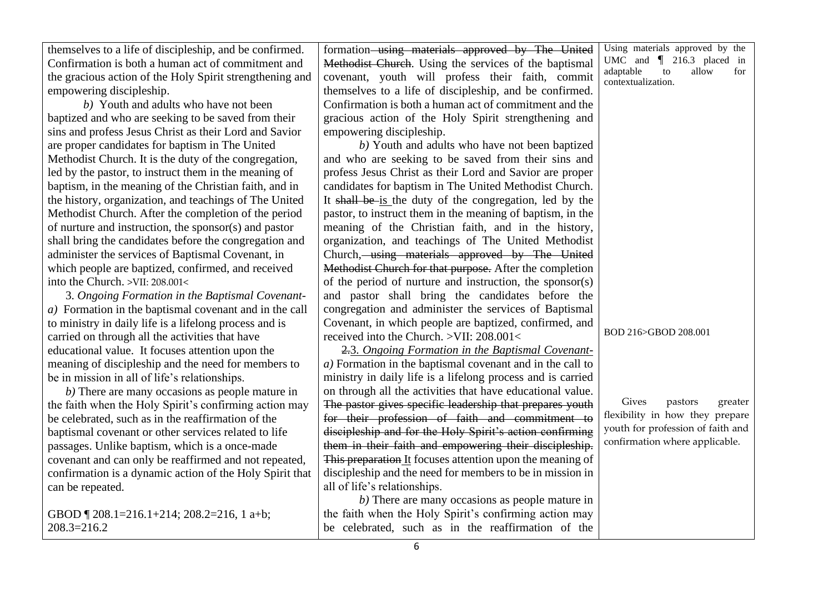| themselves to a life of discipleship, and be confirmed.  | formation-using materials approved by The United            | Using materials approved by the                           |
|----------------------------------------------------------|-------------------------------------------------------------|-----------------------------------------------------------|
| Confirmation is both a human act of commitment and       | Methodist Church. Using the services of the baptismal       | UMC and $\parallel$ 216.3 placed in<br>adaptable<br>allow |
| the gracious action of the Holy Spirit strengthening and | covenant, youth will profess their faith, commit            | for<br>to<br>contextualization.                           |
| empowering discipleship.                                 | themselves to a life of discipleship, and be confirmed.     |                                                           |
| b) Youth and adults who have not been                    | Confirmation is both a human act of commitment and the      |                                                           |
| baptized and who are seeking to be saved from their      | gracious action of the Holy Spirit strengthening and        |                                                           |
| sins and profess Jesus Christ as their Lord and Savior   | empowering discipleship.                                    |                                                           |
| are proper candidates for baptism in The United          | b) Youth and adults who have not been baptized              |                                                           |
| Methodist Church. It is the duty of the congregation,    | and who are seeking to be saved from their sins and         |                                                           |
| led by the pastor, to instruct them in the meaning of    | profess Jesus Christ as their Lord and Savior are proper    |                                                           |
| baptism, in the meaning of the Christian faith, and in   | candidates for baptism in The United Methodist Church.      |                                                           |
| the history, organization, and teachings of The United   | It shall be is the duty of the congregation, led by the     |                                                           |
| Methodist Church. After the completion of the period     | pastor, to instruct them in the meaning of baptism, in the  |                                                           |
| of nurture and instruction, the sponsor(s) and pastor    | meaning of the Christian faith, and in the history,         |                                                           |
| shall bring the candidates before the congregation and   | organization, and teachings of The United Methodist         |                                                           |
| administer the services of Baptismal Covenant, in        | Church, using materials approved by The United              |                                                           |
| which people are baptized, confirmed, and received       | Methodist Church for that purpose. After the completion     |                                                           |
| into the Church. >VII: 208.001<                          | of the period of nurture and instruction, the sponsor(s)    |                                                           |
| 3. Ongoing Formation in the Baptismal Covenant-          | and pastor shall bring the candidates before the            |                                                           |
| $a)$ Formation in the baptismal covenant and in the call | congregation and administer the services of Baptismal       |                                                           |
| to ministry in daily life is a lifelong process and is   | Covenant, in which people are baptized, confirmed, and      |                                                           |
| carried on through all the activities that have          | received into the Church. >VII: 208.001<                    | BOD 216>GBOD 208.001                                      |
| educational value. It focuses attention upon the         | 2.3. Ongoing Formation in the Baptismal Covenant-           |                                                           |
| meaning of discipleship and the need for members to      | $a)$ Formation in the baptismal covenant and in the call to |                                                           |
| be in mission in all of life's relationships.            | ministry in daily life is a lifelong process and is carried |                                                           |
| $b)$ There are many occasions as people mature in        | on through all the activities that have educational value.  |                                                           |
| the faith when the Holy Spirit's confirming action may   | The pastor gives specific leadership that prepares youth    | Gives<br>pastors<br>greater                               |
| be celebrated, such as in the reaffirmation of the       | for their profession of faith and commitment to             | flexibility in how they prepare                           |
| baptismal covenant or other services related to life     | discipleship and for the Holy Spirit's action confirming    | youth for profession of faith and                         |
| passages. Unlike baptism, which is a once-made           | them in their faith and empowering their discipleship.      | confirmation where applicable.                            |
| covenant and can only be reaffirmed and not repeated,    | This preparation It focuses attention upon the meaning of   |                                                           |
| confirmation is a dynamic action of the Holy Spirit that | discipleship and the need for members to be in mission in   |                                                           |
| can be repeated.                                         | all of life's relationships.                                |                                                           |
|                                                          | $b)$ There are many occasions as people mature in           |                                                           |
| GBOD   208.1=216.1+214; 208.2=216, 1 a+b;                | the faith when the Holy Spirit's confirming action may      |                                                           |
| $208.3=216.2$                                            | be celebrated, such as in the reaffirmation of the          |                                                           |
|                                                          |                                                             |                                                           |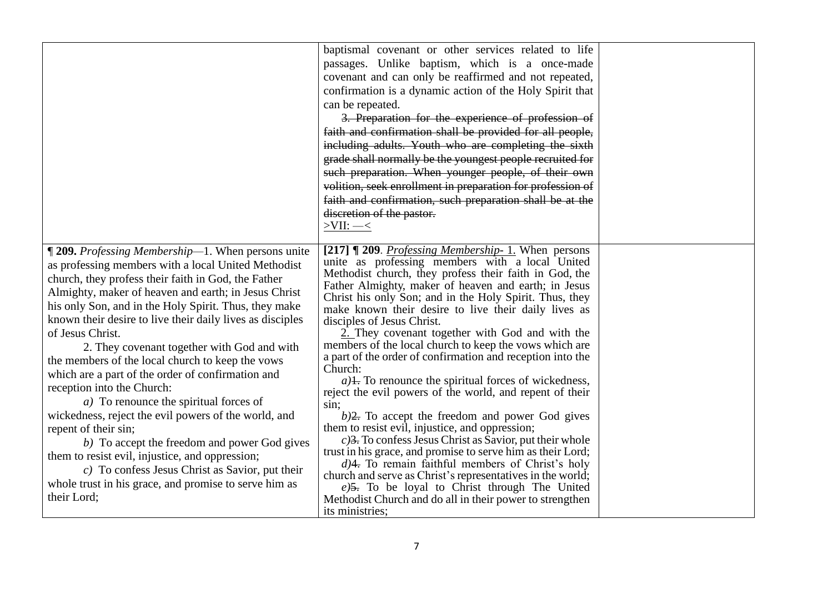|                                                                                                                                                                                                                                                                                                                                                                                                                                                                                                                                                                                                                                                                                                                                                                                                                                                                                                                            | baptismal covenant or other services related to life<br>passages. Unlike baptism, which is a once-made<br>covenant and can only be reaffirmed and not repeated,<br>confirmation is a dynamic action of the Holy Spirit that<br>can be repeated.<br>3. Preparation for the experience of profession of<br>faith and confirmation shall be provided for all people,<br>including adults. Youth who are completing the sixth<br>grade shall normally be the youngest people recruited for<br>such preparation. When younger people, of their own<br>volition, seek enrollment in preparation for profession of<br>faith and confirmation, such preparation shall be at the<br>discretion of the pastor.<br>$>$ VII: $-\leq$                                                                                                                                                                                                                                                                                                                                                                                                                                                                                                  |  |
|----------------------------------------------------------------------------------------------------------------------------------------------------------------------------------------------------------------------------------------------------------------------------------------------------------------------------------------------------------------------------------------------------------------------------------------------------------------------------------------------------------------------------------------------------------------------------------------------------------------------------------------------------------------------------------------------------------------------------------------------------------------------------------------------------------------------------------------------------------------------------------------------------------------------------|---------------------------------------------------------------------------------------------------------------------------------------------------------------------------------------------------------------------------------------------------------------------------------------------------------------------------------------------------------------------------------------------------------------------------------------------------------------------------------------------------------------------------------------------------------------------------------------------------------------------------------------------------------------------------------------------------------------------------------------------------------------------------------------------------------------------------------------------------------------------------------------------------------------------------------------------------------------------------------------------------------------------------------------------------------------------------------------------------------------------------------------------------------------------------------------------------------------------------|--|
| <b>1209.</b> Professing Membership-1. When persons unite<br>as professing members with a local United Methodist<br>church, they profess their faith in God, the Father<br>Almighty, maker of heaven and earth; in Jesus Christ<br>his only Son, and in the Holy Spirit. Thus, they make<br>known their desire to live their daily lives as disciples<br>of Jesus Christ.<br>2. They covenant together with God and with<br>the members of the local church to keep the vows<br>which are a part of the order of confirmation and<br>reception into the Church:<br>$a)$ To renounce the spiritual forces of<br>wickedness, reject the evil powers of the world, and<br>repent of their sin;<br>b) To accept the freedom and power God gives<br>them to resist evil, injustice, and oppression;<br>$c)$ To confess Jesus Christ as Savior, put their<br>whole trust in his grace, and promise to serve him as<br>their Lord; | [217] $\mathbb{I}$ 209. <i>Professing Membership-1</i> . When persons<br>unite as professing members with a local United<br>Methodist church, they profess their faith in God, the<br>Father Almighty, maker of heaven and earth; in Jesus<br>Christ his only Son; and in the Holy Spirit. Thus, they<br>make known their desire to live their daily lives as<br>disciples of Jesus Christ.<br>2. They covenant together with God and with the<br>members of the local church to keep the vows which are<br>a part of the order of confirmation and reception into the<br>Church:<br>$a$ ) <del>1.</del> To renounce the spiritual forces of wickedness,<br>reject the evil powers of the world, and repent of their<br>sin:<br>$b)$ 2. To accept the freedom and power God gives<br>them to resist evil, injustice, and oppression;<br>$c)$ 3. To confess Jesus Christ as Savior, put their whole<br>trust in his grace, and promise to serve him as their Lord;<br>$d$ )4. To remain faithful members of Christ's holy<br>church and serve as Christ's representatives in the world;<br>$e)$ 5. To be loyal to Christ through The United<br>Methodist Church and do all in their power to strengthen<br>its ministries; |  |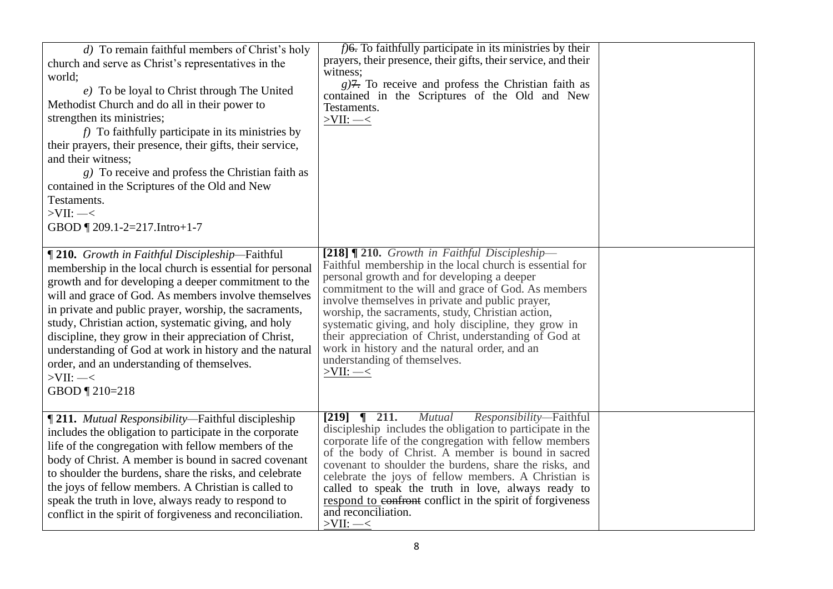| d) To remain faithful members of Christ's holy<br>church and serve as Christ's representatives in the<br>world;<br>$e)$ To be loyal to Christ through The United<br>Methodist Church and do all in their power to<br>strengthen its ministries;<br>$f$ ) To faithfully participate in its ministries by<br>their prayers, their presence, their gifts, their service,<br>and their witness:<br>$g$ ) To receive and profess the Christian faith as<br>contained in the Scriptures of the Old and New<br>Testaments.<br>$>$ VII: $-$ <<br>GBOD   209.1-2=217.Intro+1-7 | $f$ ) 6. To faithfully participate in its ministries by their<br>prayers, their presence, their gifts, their service, and their<br>witness:<br>$g/7$ . To receive and profess the Christian faith as<br>contained in the Scriptures of the Old and New<br>Testaments.<br>$>$ VII: $-$ <                                                                                                                                                                                                                                                        |  |
|-----------------------------------------------------------------------------------------------------------------------------------------------------------------------------------------------------------------------------------------------------------------------------------------------------------------------------------------------------------------------------------------------------------------------------------------------------------------------------------------------------------------------------------------------------------------------|------------------------------------------------------------------------------------------------------------------------------------------------------------------------------------------------------------------------------------------------------------------------------------------------------------------------------------------------------------------------------------------------------------------------------------------------------------------------------------------------------------------------------------------------|--|
| <b>1210.</b> Growth in Faithful Discipleship-Faithful<br>membership in the local church is essential for personal<br>growth and for developing a deeper commitment to the<br>will and grace of God. As members involve themselves<br>in private and public prayer, worship, the sacraments,<br>study, Christian action, systematic giving, and holy<br>discipline, they grow in their appreciation of Christ,<br>understanding of God at work in history and the natural<br>order, and an understanding of themselves.<br>$>$ VII: $-$ <<br>GBOD ¶ 210=218            | [218] [210. Growth in Faithful Discipleship-<br>Faithful membership in the local church is essential for<br>personal growth and for developing a deeper<br>commitment to the will and grace of God. As members<br>involve themselves in private and public prayer,<br>worship, the sacraments, study, Christian action,<br>systematic giving, and holy discipline, they grow in<br>their appreciation of Christ, understanding of God at<br>work in history and the natural order, and an<br>understanding of themselves.<br>$>$ VII: $\equiv$ |  |
| ¶ 211. Mutual Responsibility—Faithful discipleship<br>includes the obligation to participate in the corporate<br>life of the congregation with fellow members of the<br>body of Christ. A member is bound in sacred covenant<br>to shoulder the burdens, share the risks, and celebrate<br>the joys of fellow members. A Christian is called to<br>speak the truth in love, always ready to respond to<br>conflict in the spirit of forgiveness and reconciliation.                                                                                                   | Mutual<br>Responsibility-Faithful<br>discipleship includes the obligation to participate in the<br>corporate life of the congregation with fellow members<br>of the body of Christ. A member is bound in sacred<br>covenant to shoulder the burdens, share the risks, and<br>celebrate the joys of fellow members. A Christian is<br>called to speak the truth in love, always ready to<br>respond to confront conflict in the spirit of forgiveness<br>and reconciliation.<br>$>$ VII: $\equiv$                                               |  |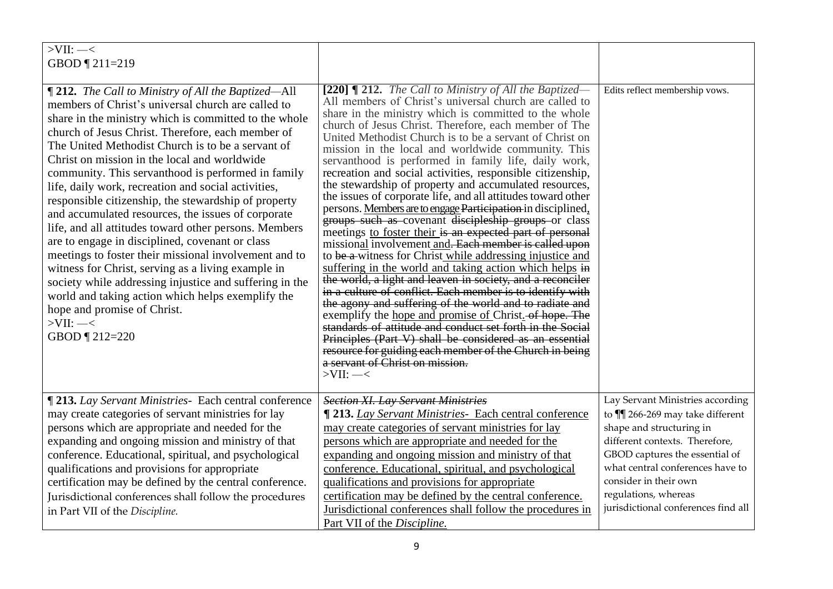| $>$ VII: $-$ <                                                                                                                                                                                                                                                                                                                                                                                                                                                                                                                                                                                                                                                                                                                                                                                                                                                                                                                                                        |                                                                                                                                                                                                                                                                                                                                                                                                                                                                                                                                                                                                                                                                                                                                                                                                                                                                                                                                                                                                                                                                                                                                                                                                                                                                                                                                                                                                                                                                             |                                                                                                    |
|-----------------------------------------------------------------------------------------------------------------------------------------------------------------------------------------------------------------------------------------------------------------------------------------------------------------------------------------------------------------------------------------------------------------------------------------------------------------------------------------------------------------------------------------------------------------------------------------------------------------------------------------------------------------------------------------------------------------------------------------------------------------------------------------------------------------------------------------------------------------------------------------------------------------------------------------------------------------------|-----------------------------------------------------------------------------------------------------------------------------------------------------------------------------------------------------------------------------------------------------------------------------------------------------------------------------------------------------------------------------------------------------------------------------------------------------------------------------------------------------------------------------------------------------------------------------------------------------------------------------------------------------------------------------------------------------------------------------------------------------------------------------------------------------------------------------------------------------------------------------------------------------------------------------------------------------------------------------------------------------------------------------------------------------------------------------------------------------------------------------------------------------------------------------------------------------------------------------------------------------------------------------------------------------------------------------------------------------------------------------------------------------------------------------------------------------------------------------|----------------------------------------------------------------------------------------------------|
| GBOD ¶ 211=219                                                                                                                                                                                                                                                                                                                                                                                                                                                                                                                                                                                                                                                                                                                                                                                                                                                                                                                                                        |                                                                                                                                                                                                                                                                                                                                                                                                                                                                                                                                                                                                                                                                                                                                                                                                                                                                                                                                                                                                                                                                                                                                                                                                                                                                                                                                                                                                                                                                             |                                                                                                    |
| ¶ 212. The Call to Ministry of All the Baptized-All<br>members of Christ's universal church are called to<br>share in the ministry which is committed to the whole<br>church of Jesus Christ. Therefore, each member of<br>The United Methodist Church is to be a servant of<br>Christ on mission in the local and worldwide<br>community. This servanthood is performed in family<br>life, daily work, recreation and social activities,<br>responsible citizenship, the stewardship of property<br>and accumulated resources, the issues of corporate<br>life, and all attitudes toward other persons. Members<br>are to engage in disciplined, covenant or class<br>meetings to foster their missional involvement and to<br>witness for Christ, serving as a living example in<br>society while addressing injustice and suffering in the<br>world and taking action which helps exemplify the<br>hope and promise of Christ.<br>$>$ VII: $-$ <<br>GBOD ¶ 212=220 | [220] $\P$ 212. The Call to Ministry of All the Baptized—<br>All members of Christ's universal church are called to<br>share in the ministry which is committed to the whole<br>church of Jesus Christ. Therefore, each member of The<br>United Methodist Church is to be a servant of Christ on<br>mission in the local and worldwide community. This<br>servanthood is performed in family life, daily work,<br>recreation and social activities, responsible citizenship,<br>the stewardship of property and accumulated resources,<br>the issues of corporate life, and all attitudes toward other<br>persons. Members are to engage Participation in disciplined,<br>groups such as covenant discipleship groups or class<br>meetings to foster their is an expected part of personal<br>missional involvement and. Each member is called upon<br>to be a witness for Christ while addressing injustice and<br>suffering in the world and taking action which helps in<br>the world, a light and leaven in society, and a reconciler<br>in a culture of conflict. Each member is to identify with<br>the agony and suffering of the world and to radiate and<br>exemplify the <u>hope and promise of Christ</u> . of hope. The<br>standards of attitude and conduct set forth in the Social<br>Principles (Part V) shall be considered as an essential<br>resource for guiding each member of the Church in being<br>a servant of Christ on mission.<br>$>$ VII: $-$ < | Edits reflect membership vows.                                                                     |
| ¶ 213. Lay Servant Ministries- Each central conference<br>may create categories of servant ministries for lay<br>persons which are appropriate and needed for the                                                                                                                                                                                                                                                                                                                                                                                                                                                                                                                                                                                                                                                                                                                                                                                                     | <b>Section XI. Lay Servant Ministries</b><br><b>¶ 213.</b> Lay Servant Ministries - Each central conference<br>may create categories of servant ministries for lay                                                                                                                                                                                                                                                                                                                                                                                                                                                                                                                                                                                                                                                                                                                                                                                                                                                                                                                                                                                                                                                                                                                                                                                                                                                                                                          | Lay Servant Ministries according<br>to $\P$ 266-269 may take different<br>shape and structuring in |
| expanding and ongoing mission and ministry of that                                                                                                                                                                                                                                                                                                                                                                                                                                                                                                                                                                                                                                                                                                                                                                                                                                                                                                                    | persons which are appropriate and needed for the                                                                                                                                                                                                                                                                                                                                                                                                                                                                                                                                                                                                                                                                                                                                                                                                                                                                                                                                                                                                                                                                                                                                                                                                                                                                                                                                                                                                                            | different contexts. Therefore,                                                                     |
| conference. Educational, spiritual, and psychological                                                                                                                                                                                                                                                                                                                                                                                                                                                                                                                                                                                                                                                                                                                                                                                                                                                                                                                 | expanding and ongoing mission and ministry of that                                                                                                                                                                                                                                                                                                                                                                                                                                                                                                                                                                                                                                                                                                                                                                                                                                                                                                                                                                                                                                                                                                                                                                                                                                                                                                                                                                                                                          | GBOD captures the essential of                                                                     |
| qualifications and provisions for appropriate                                                                                                                                                                                                                                                                                                                                                                                                                                                                                                                                                                                                                                                                                                                                                                                                                                                                                                                         | conference. Educational, spiritual, and psychological                                                                                                                                                                                                                                                                                                                                                                                                                                                                                                                                                                                                                                                                                                                                                                                                                                                                                                                                                                                                                                                                                                                                                                                                                                                                                                                                                                                                                       | what central conferences have to<br>consider in their own                                          |
| certification may be defined by the central conference.                                                                                                                                                                                                                                                                                                                                                                                                                                                                                                                                                                                                                                                                                                                                                                                                                                                                                                               | qualifications and provisions for appropriate<br>certification may be defined by the central conference.                                                                                                                                                                                                                                                                                                                                                                                                                                                                                                                                                                                                                                                                                                                                                                                                                                                                                                                                                                                                                                                                                                                                                                                                                                                                                                                                                                    | regulations, whereas                                                                               |
| Jurisdictional conferences shall follow the procedures<br>in Part VII of the Discipline.                                                                                                                                                                                                                                                                                                                                                                                                                                                                                                                                                                                                                                                                                                                                                                                                                                                                              | Jurisdictional conferences shall follow the procedures in                                                                                                                                                                                                                                                                                                                                                                                                                                                                                                                                                                                                                                                                                                                                                                                                                                                                                                                                                                                                                                                                                                                                                                                                                                                                                                                                                                                                                   | jurisdictional conferences find all                                                                |
|                                                                                                                                                                                                                                                                                                                                                                                                                                                                                                                                                                                                                                                                                                                                                                                                                                                                                                                                                                       | Part VII of the Discipline.                                                                                                                                                                                                                                                                                                                                                                                                                                                                                                                                                                                                                                                                                                                                                                                                                                                                                                                                                                                                                                                                                                                                                                                                                                                                                                                                                                                                                                                 |                                                                                                    |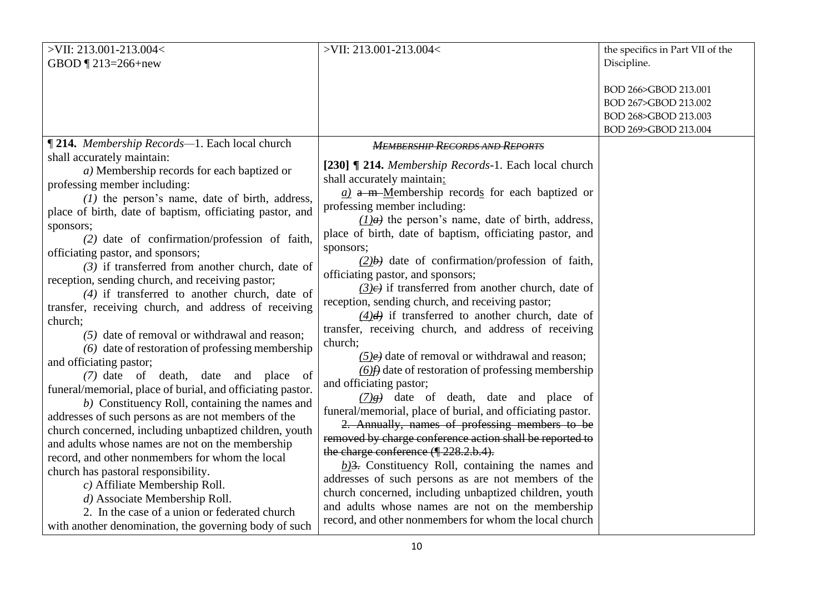| >VII: 213.001-213.004<                                                                                                                                                                                                                                                                                                                                                                                                                                                                                                                                                                                                                                                                                                                                                                                                                                                                                                                                                                                                                                                                                           | >VII: 213.001-213.004<                                                                                                                                                                                                                                                                                                                                                                                                                                                                                                                                                                                                                                                                                                                                                                                                                                                                                                                                                                                                                                                                                                                                                                                                                                        | the specifics in Part VII of the                                                             |
|------------------------------------------------------------------------------------------------------------------------------------------------------------------------------------------------------------------------------------------------------------------------------------------------------------------------------------------------------------------------------------------------------------------------------------------------------------------------------------------------------------------------------------------------------------------------------------------------------------------------------------------------------------------------------------------------------------------------------------------------------------------------------------------------------------------------------------------------------------------------------------------------------------------------------------------------------------------------------------------------------------------------------------------------------------------------------------------------------------------|---------------------------------------------------------------------------------------------------------------------------------------------------------------------------------------------------------------------------------------------------------------------------------------------------------------------------------------------------------------------------------------------------------------------------------------------------------------------------------------------------------------------------------------------------------------------------------------------------------------------------------------------------------------------------------------------------------------------------------------------------------------------------------------------------------------------------------------------------------------------------------------------------------------------------------------------------------------------------------------------------------------------------------------------------------------------------------------------------------------------------------------------------------------------------------------------------------------------------------------------------------------|----------------------------------------------------------------------------------------------|
| GBOD ¶ 213=266+new                                                                                                                                                                                                                                                                                                                                                                                                                                                                                                                                                                                                                                                                                                                                                                                                                                                                                                                                                                                                                                                                                               |                                                                                                                                                                                                                                                                                                                                                                                                                                                                                                                                                                                                                                                                                                                                                                                                                                                                                                                                                                                                                                                                                                                                                                                                                                                               | Discipline.                                                                                  |
| ¶ 214. Membership Records-1. Each local church<br>shall accurately maintain:                                                                                                                                                                                                                                                                                                                                                                                                                                                                                                                                                                                                                                                                                                                                                                                                                                                                                                                                                                                                                                     | <b>MEMBERSHIP RECORDS AND REPORTS</b>                                                                                                                                                                                                                                                                                                                                                                                                                                                                                                                                                                                                                                                                                                                                                                                                                                                                                                                                                                                                                                                                                                                                                                                                                         | BOD 266>GBOD 213.001<br>BOD 267>GBOD 213.002<br>BOD 268>GBOD 213.003<br>BOD 269>GBOD 213.004 |
| a) Membership records for each baptized or                                                                                                                                                                                                                                                                                                                                                                                                                                                                                                                                                                                                                                                                                                                                                                                                                                                                                                                                                                                                                                                                       | [230] ¶ 214. Membership Records-1. Each local church                                                                                                                                                                                                                                                                                                                                                                                                                                                                                                                                                                                                                                                                                                                                                                                                                                                                                                                                                                                                                                                                                                                                                                                                          |                                                                                              |
| professing member including:<br>$(1)$ the person's name, date of birth, address,<br>place of birth, date of baptism, officiating pastor, and<br>sponsors;<br>$(2)$ date of confirmation/profession of faith,<br>officiating pastor, and sponsors;<br>$(3)$ if transferred from another church, date of<br>reception, sending church, and receiving pastor;<br>$(4)$ if transferred to another church, date of<br>transfer, receiving church, and address of receiving<br>church;<br>(5) date of removal or withdrawal and reason;<br>$(6)$ date of restoration of professing membership<br>and officiating pastor;<br>(7) date of death, date and place<br>- of<br>funeral/memorial, place of burial, and officiating pastor.<br>b) Constituency Roll, containing the names and<br>addresses of such persons as are not members of the<br>church concerned, including unbaptized children, youth<br>and adults whose names are not on the membership<br>record, and other nonmembers for whom the local<br>church has pastoral responsibility.<br>c) Affiliate Membership Roll.<br>d) Associate Membership Roll. | shall accurately maintain:<br>$\underline{a}$ ) a m-Membership records for each baptized or<br>professing member including:<br>$(1)$ a) the person's name, date of birth, address,<br>place of birth, date of baptism, officiating pastor, and<br>sponsors;<br>$(2)b$ date of confirmation/profession of faith,<br>officiating pastor, and sponsors;<br>$(3)$ e) if transferred from another church, date of<br>reception, sending church, and receiving pastor;<br>$(4)$ d) if transferred to another church, date of<br>transfer, receiving church, and address of receiving<br>church;<br>$(5)$ e) date of removal or withdrawal and reason;<br>$(6)$ date of restoration of professing membership<br>and officiating pastor;<br>$(7)$ <sub>8</sub> ) date of death, date and place of<br>funeral/memorial, place of burial, and officiating pastor.<br>2. Annually, names of professing members to be<br>removed by charge conference action shall be reported to<br>the charge conference $(\sqrt{228.2 \cdot b \cdot 4})$ .<br>$b$ )3. Constituency Roll, containing the names and<br>addresses of such persons as are not members of the<br>church concerned, including unbaptized children, youth<br>and adults whose names are not on the membership |                                                                                              |
| 2. In the case of a union or federated church<br>with another denomination, the governing body of such                                                                                                                                                                                                                                                                                                                                                                                                                                                                                                                                                                                                                                                                                                                                                                                                                                                                                                                                                                                                           | record, and other nonmembers for whom the local church                                                                                                                                                                                                                                                                                                                                                                                                                                                                                                                                                                                                                                                                                                                                                                                                                                                                                                                                                                                                                                                                                                                                                                                                        |                                                                                              |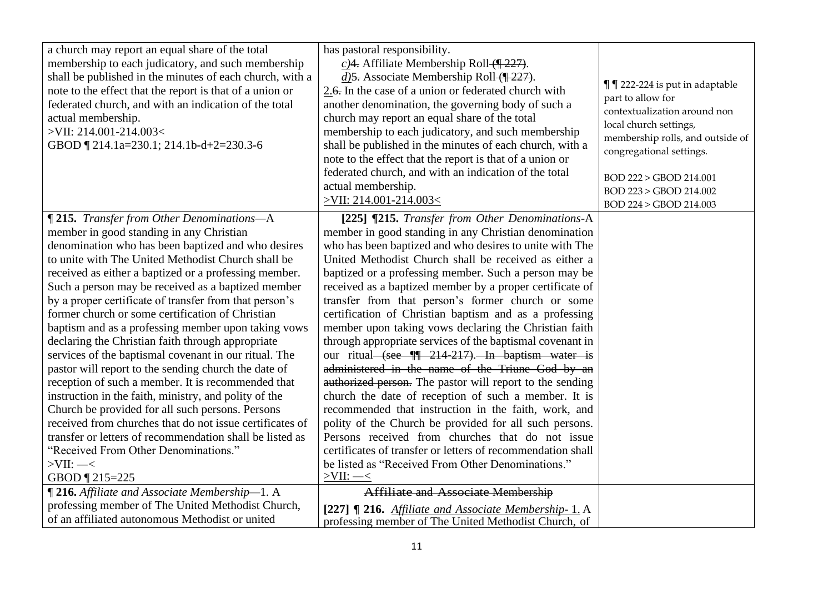| a church may report an equal share of the total<br>membership to each judicatory, and such membership<br>shall be published in the minutes of each church, with a<br>note to the effect that the report is that of a union or<br>federated church, and with an indication of the total<br>actual membership.<br>>VII: 214.001-214.003<<br>GBOD   214.1a=230.1; 214.1b-d+2=230.3-6                                                                                                                                                                                                                                                                                                                                                                                                                                                                                                                                                                                                                                                            | has pastoral responsibility.<br>$c$ )4. Affiliate Membership Roll (1227).<br>$d$ ) 5. Associate Membership Roll ( $\sqrt{227}$ ).<br>$2.6$ . In the case of a union or federated church with<br>another denomination, the governing body of such a<br>church may report an equal share of the total<br>membership to each judicatory, and such membership<br>shall be published in the minutes of each church, with a<br>note to the effect that the report is that of a union or<br>federated church, and with an indication of the total<br>actual membership.<br>>VII: 214.001-214.003<                                                                                                                                                                                                                                                                                                                                                                                                                                                                                                                                             | ¶ 222-224 is put in adaptable<br>part to allow for<br>contextualization around non<br>local church settings,<br>membership rolls, and outside of<br>congregational settings.<br>BOD 222 > GBOD 214.001<br>BOD 223 > GBOD 214.002<br>BOD 224 > GBOD 214.003 |
|----------------------------------------------------------------------------------------------------------------------------------------------------------------------------------------------------------------------------------------------------------------------------------------------------------------------------------------------------------------------------------------------------------------------------------------------------------------------------------------------------------------------------------------------------------------------------------------------------------------------------------------------------------------------------------------------------------------------------------------------------------------------------------------------------------------------------------------------------------------------------------------------------------------------------------------------------------------------------------------------------------------------------------------------|----------------------------------------------------------------------------------------------------------------------------------------------------------------------------------------------------------------------------------------------------------------------------------------------------------------------------------------------------------------------------------------------------------------------------------------------------------------------------------------------------------------------------------------------------------------------------------------------------------------------------------------------------------------------------------------------------------------------------------------------------------------------------------------------------------------------------------------------------------------------------------------------------------------------------------------------------------------------------------------------------------------------------------------------------------------------------------------------------------------------------------------|------------------------------------------------------------------------------------------------------------------------------------------------------------------------------------------------------------------------------------------------------------|
| <b>1215.</b> Transfer from Other Denominations-A<br>member in good standing in any Christian<br>denomination who has been baptized and who desires<br>to unite with The United Methodist Church shall be<br>received as either a baptized or a professing member.<br>Such a person may be received as a baptized member<br>by a proper certificate of transfer from that person's<br>former church or some certification of Christian<br>baptism and as a professing member upon taking vows<br>declaring the Christian faith through appropriate<br>services of the baptismal covenant in our ritual. The<br>pastor will report to the sending church the date of<br>reception of such a member. It is recommended that<br>instruction in the faith, ministry, and polity of the<br>Church be provided for all such persons. Persons<br>received from churches that do not issue certificates of<br>transfer or letters of recommendation shall be listed as<br>"Received From Other Denominations."<br>$>$ VII: $-$ <<br>GBOD $\P$ 215=225 | [225] ¶215. Transfer from Other Denominations-A<br>member in good standing in any Christian denomination<br>who has been baptized and who desires to unite with The<br>United Methodist Church shall be received as either a<br>baptized or a professing member. Such a person may be<br>received as a baptized member by a proper certificate of<br>transfer from that person's former church or some<br>certification of Christian baptism and as a professing<br>member upon taking vows declaring the Christian faith<br>through appropriate services of the baptismal covenant in<br>our ritual (see $\frac{1}{214-217}$ ). In baptism water is<br>administered in the name of the Triune God by an<br>authorized person. The pastor will report to the sending<br>church the date of reception of such a member. It is<br>recommended that instruction in the faith, work, and<br>polity of the Church be provided for all such persons.<br>Persons received from churches that do not issue<br>certificates of transfer or letters of recommendation shall<br>be listed as "Received From Other Denominations."<br>$>$ VII: $-$ |                                                                                                                                                                                                                                                            |
| ¶ 216. Affiliate and Associate Membership-1. A<br>professing member of The United Methodist Church,<br>of an affiliated autonomous Methodist or united                                                                                                                                                                                                                                                                                                                                                                                                                                                                                                                                                                                                                                                                                                                                                                                                                                                                                       | <b>Affiliate and Associate Membership</b><br>[227] ¶ 216. Affiliate and Associate Membership-1. A<br>professing member of The United Methodist Church, of                                                                                                                                                                                                                                                                                                                                                                                                                                                                                                                                                                                                                                                                                                                                                                                                                                                                                                                                                                              |                                                                                                                                                                                                                                                            |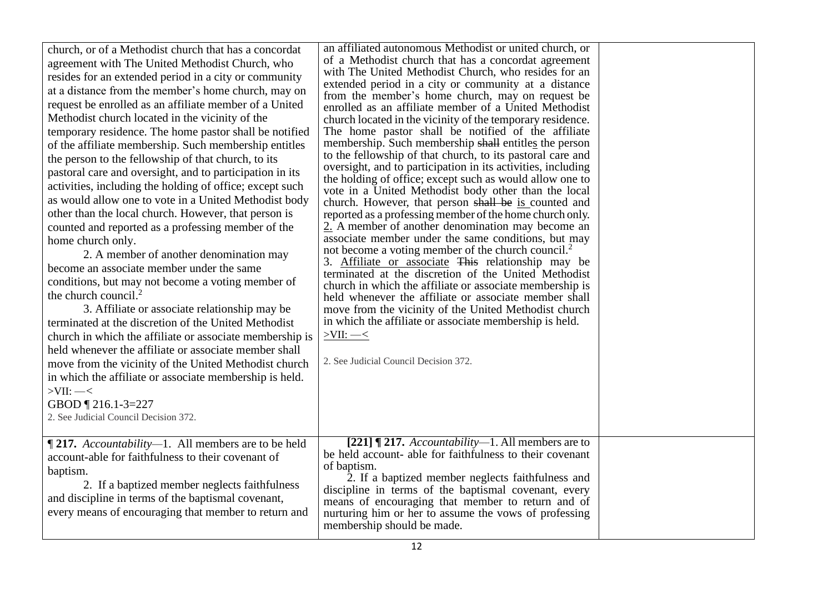| church, or of a Methodist church that has a concordat<br>agreement with The United Methodist Church, who<br>resides for an extended period in a city or community<br>at a distance from the member's home church, may on<br>request be enrolled as an affiliate member of a United<br>Methodist church located in the vicinity of the<br>temporary residence. The home pastor shall be notified<br>of the affiliate membership. Such membership entitles<br>the person to the fellowship of that church, to its<br>pastoral care and oversight, and to participation in its<br>activities, including the holding of office; except such<br>as would allow one to vote in a United Methodist body<br>other than the local church. However, that person is<br>counted and reported as a professing member of the<br>home church only.<br>2. A member of another denomination may<br>become an associate member under the same<br>conditions, but may not become a voting member of<br>the church council. $^{2}$<br>3. Affiliate or associate relationship may be<br>terminated at the discretion of the United Methodist<br>church in which the affiliate or associate membership is<br>held whenever the affiliate or associate member shall<br>move from the vicinity of the United Methodist church<br>in which the affiliate or associate membership is held.<br>$>$ VII: $-$ <<br>GBOD $\P$ 216.1-3=227<br>2. See Judicial Council Decision 372. | an affiliated autonomous Methodist or united church, or<br>of a Methodist church that has a concordat agreement<br>with The United Methodist Church, who resides for an<br>extended period in a city or community at a distance<br>from the member's home church, may on request be<br>enrolled as an affiliate member of a United Methodist<br>church located in the vicinity of the temporary residence.<br>The home pastor shall be notified of the affiliate<br>membership. Such membership shall entitles the person<br>to the fellowship of that church, to its pastoral care and<br>oversight, and to participation in its activities, including<br>the holding of office; except such as would allow one to<br>vote in a United Methodist body other than the local<br>church. However, that person shall be is counted and<br>reported as a professing member of the home church only.<br>2. A member of another denomination may become an<br>associate member under the same conditions, but may<br>not become a voting member of the church council. <sup>2</sup><br>3. Affiliate or associate This relationship may be<br>terminated at the discretion of the United Methodist<br>church in which the affiliate or associate membership is<br>held whenever the affiliate or associate member shall<br>move from the vicinity of the United Methodist church<br>in which the affiliate or associate membership is held.<br>$>$ VII: $-$<br>2. See Judicial Council Decision 372. |  |
|------------------------------------------------------------------------------------------------------------------------------------------------------------------------------------------------------------------------------------------------------------------------------------------------------------------------------------------------------------------------------------------------------------------------------------------------------------------------------------------------------------------------------------------------------------------------------------------------------------------------------------------------------------------------------------------------------------------------------------------------------------------------------------------------------------------------------------------------------------------------------------------------------------------------------------------------------------------------------------------------------------------------------------------------------------------------------------------------------------------------------------------------------------------------------------------------------------------------------------------------------------------------------------------------------------------------------------------------------------------------------------------------------------------------------------------------------|-----------------------------------------------------------------------------------------------------------------------------------------------------------------------------------------------------------------------------------------------------------------------------------------------------------------------------------------------------------------------------------------------------------------------------------------------------------------------------------------------------------------------------------------------------------------------------------------------------------------------------------------------------------------------------------------------------------------------------------------------------------------------------------------------------------------------------------------------------------------------------------------------------------------------------------------------------------------------------------------------------------------------------------------------------------------------------------------------------------------------------------------------------------------------------------------------------------------------------------------------------------------------------------------------------------------------------------------------------------------------------------------------------------------------------------------------------------------------------------------------|--|
| 1217. Accountability-1. All members are to be held<br>account-able for faithfulness to their covenant of<br>baptism.<br>2. If a baptized member neglects faithfulness<br>and discipline in terms of the baptismal covenant,<br>every means of encouraging that member to return and                                                                                                                                                                                                                                                                                                                                                                                                                                                                                                                                                                                                                                                                                                                                                                                                                                                                                                                                                                                                                                                                                                                                                                  | [221] $\P$ 217. Accountability-1. All members are to<br>be held account- able for faithfulness to their covenant<br>of baptism.<br>2. If a baptized member neglects faithfulness and<br>discipline in terms of the baptismal covenant, every<br>means of encouraging that member to return and of<br>nurturing him or her to assume the vows of professing<br>membership should be made.                                                                                                                                                                                                                                                                                                                                                                                                                                                                                                                                                                                                                                                                                                                                                                                                                                                                                                                                                                                                                                                                                                      |  |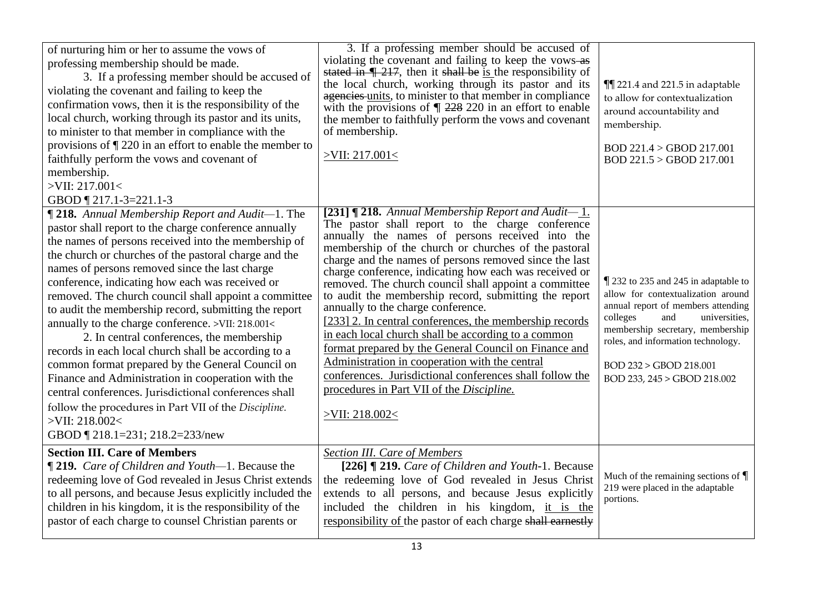| of nurturing him or her to assume the vows of<br>professing membership should be made.<br>3. If a professing member should be accused of<br>violating the covenant and failing to keep the<br>confirmation vows, then it is the responsibility of the<br>local church, working through its pastor and its units,<br>to minister to that member in compliance with the<br>provisions of $\P$ 220 in an effort to enable the member to<br>faithfully perform the vows and covenant of<br>membership.<br>$>$ VII: 217.001<<br>GBOD 1217.1-3=221.1-3                                                                                                                                                                                                                                                                                                                                                 | 3. If a professing member should be accused of<br>violating the covenant and failing to keep the vows-as<br>stated in $\P$ 217, then it shall be is the responsibility of<br>the local church, working through its pastor and its<br>agencies units, to minister to that member in compliance<br>with the provisions of $\P$ 228 220 in an effort to enable<br>the member to faithfully perform the vows and covenant<br>of membership.<br>$>$ VII: 217.001 $<$                                                                                                                                                                                                                                                                                                                                                                                                | III 221.4 and 221.5 in adaptable<br>to allow for contextualization<br>around accountability and<br>membership.<br>BOD $221.4 >$ GBOD $217.001$<br>BOD 221.5 > GBOD 217.001                                                                                                             |
|--------------------------------------------------------------------------------------------------------------------------------------------------------------------------------------------------------------------------------------------------------------------------------------------------------------------------------------------------------------------------------------------------------------------------------------------------------------------------------------------------------------------------------------------------------------------------------------------------------------------------------------------------------------------------------------------------------------------------------------------------------------------------------------------------------------------------------------------------------------------------------------------------|----------------------------------------------------------------------------------------------------------------------------------------------------------------------------------------------------------------------------------------------------------------------------------------------------------------------------------------------------------------------------------------------------------------------------------------------------------------------------------------------------------------------------------------------------------------------------------------------------------------------------------------------------------------------------------------------------------------------------------------------------------------------------------------------------------------------------------------------------------------|----------------------------------------------------------------------------------------------------------------------------------------------------------------------------------------------------------------------------------------------------------------------------------------|
| ¶ 218. Annual Membership Report and Audit-1. The<br>pastor shall report to the charge conference annually<br>the names of persons received into the membership of<br>the church or churches of the pastoral charge and the<br>names of persons removed since the last charge<br>conference, indicating how each was received or<br>removed. The church council shall appoint a committee<br>to audit the membership record, submitting the report<br>annually to the charge conference. >VII: 218.001<<br>2. In central conferences, the membership<br>records in each local church shall be according to a<br>common format prepared by the General Council on<br>Finance and Administration in cooperation with the<br>central conferences. Jurisdictional conferences shall<br>follow the procedures in Part VII of the Discipline.<br>$>$ VII: 218.002 $<$<br>GBOD 1218.1=231; 218.2=233/new | [231] $\P$ 218. Annual Membership Report and Audit-1.<br>The pastor shall report to the charge conference<br>annually the names of persons received into the<br>membership of the church or churches of the pastoral<br>charge and the names of persons removed since the last<br>charge conference, indicating how each was received or<br>removed. The church council shall appoint a committee<br>to audit the membership record, submitting the report<br>annually to the charge conference.<br>[233] 2. In central conferences, the membership records<br>in each local church shall be according to a common<br>format prepared by the General Council on Finance and<br>Administration in cooperation with the central<br>conferences. Jurisdictional conferences shall follow the<br>procedures in Part VII of the Discipline.<br>$>$ VII: 218.002 $<$ | 1232 to 235 and 245 in adaptable to<br>allow for contextualization around<br>annual report of members attending<br>colleges<br>and<br>universities,<br>membership secretary, membership<br>roles, and information technology.<br>BOD 232 > GBOD 218.001<br>BOD 233, 245 > GBOD 218.002 |
| <b>Section III. Care of Members</b><br>¶ 219. Care of Children and Youth-1. Because the<br>redeeming love of God revealed in Jesus Christ extends<br>to all persons, and because Jesus explicitly included the<br>children in his kingdom, it is the responsibility of the<br>pastor of each charge to counsel Christian parents or                                                                                                                                                                                                                                                                                                                                                                                                                                                                                                                                                              | Section III. Care of Members<br>[226] ¶ 219. Care of Children and Youth-1. Because<br>the redeeming love of God revealed in Jesus Christ<br>extends to all persons, and because Jesus explicitly<br>included the children in his kingdom, it is the<br>responsibility of the pastor of each charge shall earnestly                                                                                                                                                                                                                                                                                                                                                                                                                                                                                                                                             | Much of the remaining sections of $\P$<br>219 were placed in the adaptable<br>portions.                                                                                                                                                                                                |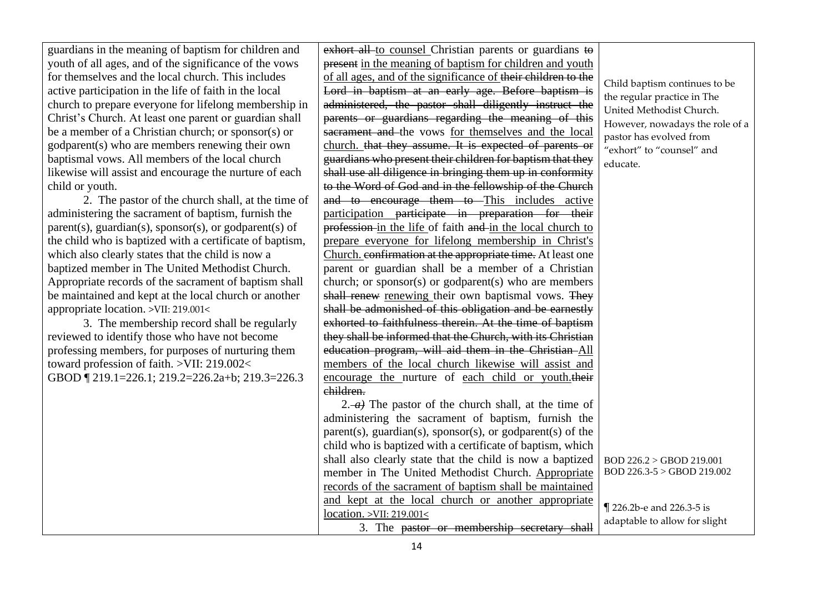guardians in the meaning of baptism for children and youth of all ages, and of the significance of the vows for themselves and the local church. This includes active participation in the life of faith in the local church to prepare everyone for lifelong membership in Christ's Church. At least one parent or guardian shall be a member of a Christian church; or sponsor(s) or godparent(s) who are members renewing their own baptismal vows. All members of the local church likewise will assist and encourage the nurture of each child or youth.

2. The pastor of the church shall, at the time of administering the sacrament of baptism, furnish the parent(s), guardian(s), sponsor(s), or godparent(s) of the child who is baptized with a certificate of baptism, which also clearly states that the child is now a baptized member in The United Methodist Church. Appropriate records of the sacrament of baptism shall be maintained and kept at the local church or another appropriate location. >VII: 219.001<

3. The membership record shall be regularly reviewed to identify those who have not become professing members, for purposes of nurturing them toward profession of faith. >VII: 219.002< GBOD ¶ 219.1=226.1; 219.2=226.2a+b; 219.3=226.3

exhort all to counsel Christian parents or guardians to **present** in the meaning of baptism for children and youth of all ages, and of the significance of their children to the Lord in baptism at an early age. Before baptism is administered, the pastor shall diligently instruct the parents or guardians regarding the meaning of this sacrament and the vows for themselves and the local church. that they assume. It is expected of parents or guardians who present their children for baptism that they shall use all diligence in bringing them up in conformity to the Word of God and in the fellowship of the Church and to encourage them to This includes active participation <del>participate in preparation for their</del> profession in the life of faith and in the local church to prepare everyone for lifelong membership in Christ's Church. confirmation at the appropriate time. At least one parent or guardian shall be a member of a Christian church; or sponsor(s) or godparent(s) who are members shall renew renewing their own baptismal vows. They shall be admonished of this obligation and be earnestly exhorted to faithfulness therein. At the time of baptism they shall be informed that the Church, with its Christian education program, will aid them in the Christian All members of the local church likewise will assist and encourage the nurture of each child or youth.their children.  $2 - a$ ) The pastor of the church shall, at the time of administering the sacrament of baptism, furnish the parent(s), guardian(s), sponsor(s), or godparent(s) of the child who is baptized with a certificate of baptism, which shall also clearly state that the child is now a baptized member in The United Methodist Church. Appropriate records of the sacrament of baptism shall be maintained and kept at the local church or another appropriate location. >VII: 219.001< educate.

Child baptism continues to be the regular practice in The United Methodist Church. However, nowadays the role of a pastor has evolved from "exhort" to "counsel" and

BOD 226.2 > GBOD 219.001 BOD 226.3-5 > GBOD 219.002

¶ 226.2b-e and 226.3-5 is adaptable to allow for slight

3. The pastor or membership secretary shall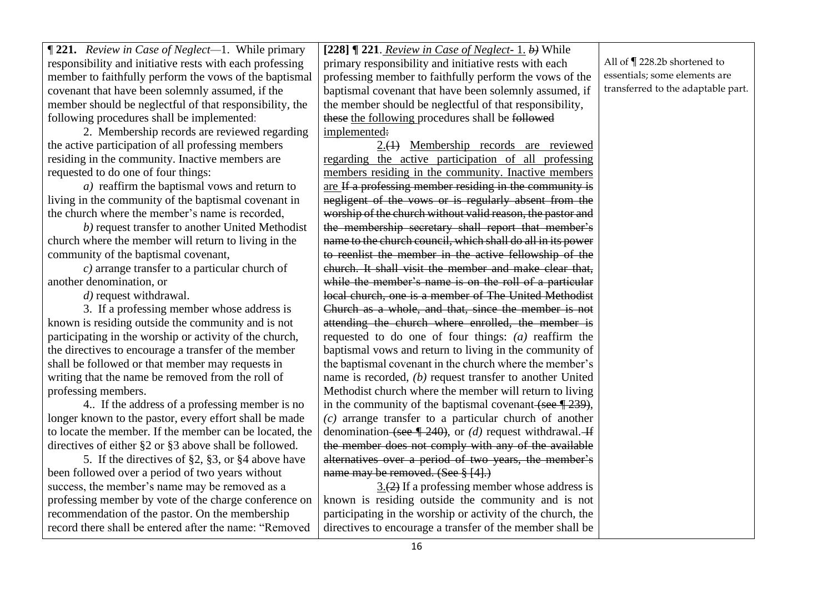| <b>1221.</b> Review in Case of Neglect—1. While primary        | [228] $\P$ 221. <i>Review in Case of Neglect-</i> 1. b) While   |                                    |
|----------------------------------------------------------------|-----------------------------------------------------------------|------------------------------------|
| responsibility and initiative rests with each professing       | primary responsibility and initiative rests with each           | All of $\P$ 228.2b shortened to    |
| member to faithfully perform the vows of the baptismal         | professing member to faithfully perform the vows of the         | essentials; some elements are      |
| covenant that have been solemnly assumed, if the               | baptismal covenant that have been solemnly assumed, if          | transferred to the adaptable part. |
| member should be neglectful of that responsibility, the        | the member should be neglectful of that responsibility,         |                                    |
| following procedures shall be implemented:                     | these the following procedures shall be followed                |                                    |
| 2. Membership records are reviewed regarding                   | implemented:                                                    |                                    |
| the active participation of all professing members             | $2(1)$ Membership records are reviewed                          |                                    |
| residing in the community. Inactive members are                | regarding the active participation of all professing            |                                    |
| requested to do one of four things:                            | members residing in the community. Inactive members             |                                    |
| a) reaffirm the baptismal vows and return to                   | are If a professing member residing in the community is         |                                    |
| living in the community of the baptismal covenant in           | negligent of the vows or is regularly absent from the           |                                    |
| the church where the member's name is recorded,                | worship of the church without valid reason, the pastor and      |                                    |
| b) request transfer to another United Methodist                | the membership secretary shall report that member's             |                                    |
| church where the member will return to living in the           | name to the church council, which shall do all in its power     |                                    |
| community of the baptismal covenant,                           | to reenlist the member in the active fellowship of the          |                                    |
| $c)$ arrange transfer to a particular church of                | church. It shall visit the member and make clear that,          |                                    |
| another denomination, or                                       | while the member's name is on the roll of a particular          |                                    |
| $d$ ) request withdrawal.                                      | local church, one is a member of The United Methodist           |                                    |
| 3. If a professing member whose address is                     | Church as a whole, and that, since the member is not            |                                    |
| known is residing outside the community and is not             | attending the church where enrolled, the member is              |                                    |
| participating in the worship or activity of the church,        | requested to do one of four things: $(a)$ reaffirm the          |                                    |
| the directives to encourage a transfer of the member           | baptismal vows and return to living in the community of         |                                    |
| shall be followed or that member may requests in               | the baptismal covenant in the church where the member's         |                                    |
| writing that the name be removed from the roll of              | name is recorded, $(b)$ request transfer to another United      |                                    |
| professing members.                                            | Methodist church where the member will return to living         |                                    |
| 4 If the address of a professing member is no                  | in the community of the baptismal covenant (see $\sqrt{239}$ ), |                                    |
| longer known to the pastor, every effort shall be made         | $(c)$ arrange transfer to a particular church of another        |                                    |
| to locate the member. If the member can be located, the        | denomination (see $\sqrt{240}$ ), or (d) request withdrawal. If |                                    |
| directives of either $\S$ 2 or $\S$ 3 above shall be followed. | the member does not comply with any of the available            |                                    |
| 5. If the directives of $\S2$ , $\S3$ , or $\S4$ above have    | alternatives over a period of two years, the member's           |                                    |
| been followed over a period of two years without               | name may be removed. (See $\S$ [4].)                            |                                    |
| success, the member's name may be removed as a                 | $\underline{3.}(2)$ If a professing member whose address is     |                                    |
| professing member by vote of the charge conference on          | known is residing outside the community and is not              |                                    |
| recommendation of the pastor. On the membership                | participating in the worship or activity of the church, the     |                                    |
| record there shall be entered after the name: "Removed         | directives to encourage a transfer of the member shall be       |                                    |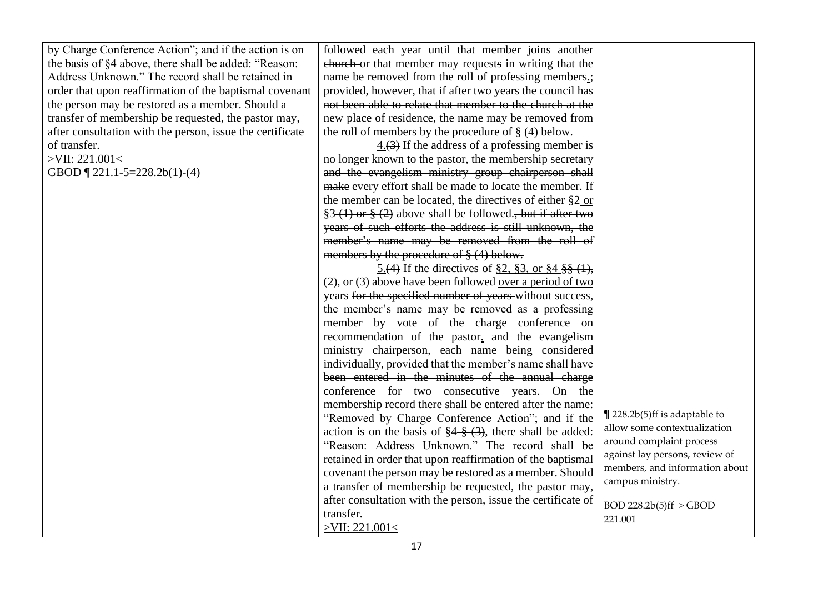by Charge Conference Action"; and if the action is on the basis of §4 above, there shall be added: "Reason: Address Unknown." The record shall be retained in order that upon reaffirmation of the baptismal covenant the person may be restored as a member. Should a transfer of membership be requested, the pastor may, after consultation with the person, issue the certificate of transfer.

>VII: 221.001< GBOD ¶ 221.1-5=228.2b(1)-(4) followed each year until that member joins another church or that member may requests in writing that the name be removed from the roll of professing members.; provided, however, that if after two years the council has not been able to relate that member to the church at the new place of residence, the name may be removed from the roll of members by the procedure of § (4) below.

4.(3) If the address of a professing member is no longer known to the pastor, the membership secretary and the evangelism ministry group chairperson shall make every effort shall be made to locate the member. If the member can be located, the directives of either §2 or  $§3-(1)$  or  $§$  (2) above shall be followed., but if after two years of such efforts the address is still unknown, the member's name may be removed from the roll of members by the procedure of  $\S$  (4) below.

5.(4) If the directives of §2, §3, or §4 §§ (1), (2), or (3) above have been followed over a period of two years for the specified number of years without success, the member's name may be removed as a professing member by vote of the charge conference on recommendation of the pastor.—and the evangelism ministry chairperson, each name being considered individually, provided that the member's name shall have been entered in the minutes of the annual charge conference for two consecutive years. On the membership record there shall be entered after the name: "Removed by Charge Conference Action"; and if the action is on the basis of  $\S4 - \S 3$ , there shall be added: "Reason: Address Unknown." The record shall be retained in order that upon reaffirmation of the baptismal covenant the person may be restored as a member. Should a transfer of membership be requested, the pastor may, after consultation with the person, issue the certificate of transfer. >VII: 221.001<

¶ 228.2b(5)ff is adaptable to allow some contextualization around complaint process against lay persons, review of members, and information about campus ministry.

BOD 228.2b(5)ff > GBOD 221.001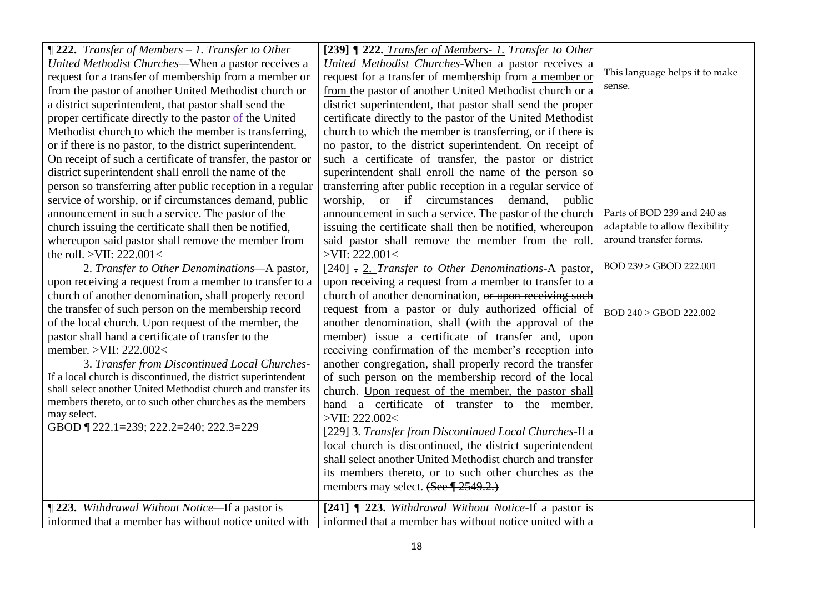| <b><math>\mathbb{Z}</math>222.</b> Transfer of Members - 1. Transfer to Other<br>United Methodist Churches-When a pastor receives a<br>request for a transfer of membership from a member or<br>from the pastor of another United Methodist church or<br>a district superintendent, that pastor shall send the<br>proper certificate directly to the pastor of the United<br>Methodist church to which the member is transferring,<br>or if there is no pastor, to the district superintendent.<br>On receipt of such a certificate of transfer, the pastor or<br>district superintendent shall enroll the name of the<br>person so transferring after public reception in a regular<br>service of worship, or if circumstances demand, public<br>announcement in such a service. The pastor of the<br>church issuing the certificate shall then be notified,<br>whereupon said pastor shall remove the member from<br>the roll. $>$ VII: 222.001<<br>2. Transfer to Other Denominations-A pastor,<br>upon receiving a request from a member to transfer to a<br>church of another denomination, shall properly record<br>the transfer of such person on the membership record<br>of the local church. Upon request of the member, the<br>pastor shall hand a certificate of transfer to the<br>member. > VII: 222.002<<br>3. Transfer from Discontinued Local Churches-<br>If a local church is discontinued, the district superintendent<br>shall select another United Methodist church and transfer its<br>members thereto, or to such other churches as the members<br>may select.<br>GBOD ¶ 222.1=239; 222.2=240; 222.3=229 | [239] ¶ 222. Transfer of Members- 1. Transfer to Other<br>United Methodist Churches-When a pastor receives a<br>request for a transfer of membership from a member or<br>from the pastor of another United Methodist church or a<br>district superintendent, that pastor shall send the proper<br>certificate directly to the pastor of the United Methodist<br>church to which the member is transferring, or if there is<br>no pastor, to the district superintendent. On receipt of<br>such a certificate of transfer, the pastor or district<br>superintendent shall enroll the name of the person so<br>transferring after public reception in a regular service of<br>worship, or if circumstances<br>demand,<br>public<br>announcement in such a service. The pastor of the church<br>issuing the certificate shall then be notified, whereupon<br>said pastor shall remove the member from the roll.<br>$>$ VII: 222.001<<br>[240] - 2. Transfer to Other Denominations-A pastor,<br>upon receiving a request from a member to transfer to a<br>church of another denomination, or upon receiving such<br>request from a pastor or duly authorized official of<br>another denomination, shall (with the approval of the<br>member) issue a certificate of transfer and, upon<br>receiving confirmation of the member's reception into<br>another congregation, shall properly record the transfer<br>of such person on the membership record of the local<br>church. Upon request of the member, the pastor shall<br>hand a certificate of transfer to the member.<br>$>$ VII: 222.002<<br>[229] 3. Transfer from Discontinued Local Churches-If a<br>local church is discontinued, the district superintendent | This language helps it to make<br>sense.<br>Parts of BOD 239 and 240 as<br>adaptable to allow flexibility<br>around transfer forms.<br>BOD 239 > GBOD 222.001<br>BOD 240 > GBOD 222.002 |
|-----------------------------------------------------------------------------------------------------------------------------------------------------------------------------------------------------------------------------------------------------------------------------------------------------------------------------------------------------------------------------------------------------------------------------------------------------------------------------------------------------------------------------------------------------------------------------------------------------------------------------------------------------------------------------------------------------------------------------------------------------------------------------------------------------------------------------------------------------------------------------------------------------------------------------------------------------------------------------------------------------------------------------------------------------------------------------------------------------------------------------------------------------------------------------------------------------------------------------------------------------------------------------------------------------------------------------------------------------------------------------------------------------------------------------------------------------------------------------------------------------------------------------------------------------------------------------------------------------------------------------------|-------------------------------------------------------------------------------------------------------------------------------------------------------------------------------------------------------------------------------------------------------------------------------------------------------------------------------------------------------------------------------------------------------------------------------------------------------------------------------------------------------------------------------------------------------------------------------------------------------------------------------------------------------------------------------------------------------------------------------------------------------------------------------------------------------------------------------------------------------------------------------------------------------------------------------------------------------------------------------------------------------------------------------------------------------------------------------------------------------------------------------------------------------------------------------------------------------------------------------------------------------------------------------------------------------------------------------------------------------------------------------------------------------------------------------------------------------------------------------------------------------------------------------------------------------------------------------------------------------------------------------------------------------------------------------------------------------------------------|-----------------------------------------------------------------------------------------------------------------------------------------------------------------------------------------|
|                                                                                                                                                                                                                                                                                                                                                                                                                                                                                                                                                                                                                                                                                                                                                                                                                                                                                                                                                                                                                                                                                                                                                                                                                                                                                                                                                                                                                                                                                                                                                                                                                                   | shall select another United Methodist church and transfer                                                                                                                                                                                                                                                                                                                                                                                                                                                                                                                                                                                                                                                                                                                                                                                                                                                                                                                                                                                                                                                                                                                                                                                                                                                                                                                                                                                                                                                                                                                                                                                                                                                               |                                                                                                                                                                                         |
|                                                                                                                                                                                                                                                                                                                                                                                                                                                                                                                                                                                                                                                                                                                                                                                                                                                                                                                                                                                                                                                                                                                                                                                                                                                                                                                                                                                                                                                                                                                                                                                                                                   | its members thereto, or to such other churches as the<br>members may select. (See ¶ 2549.2.)                                                                                                                                                                                                                                                                                                                                                                                                                                                                                                                                                                                                                                                                                                                                                                                                                                                                                                                                                                                                                                                                                                                                                                                                                                                                                                                                                                                                                                                                                                                                                                                                                            |                                                                                                                                                                                         |
|                                                                                                                                                                                                                                                                                                                                                                                                                                                                                                                                                                                                                                                                                                                                                                                                                                                                                                                                                                                                                                                                                                                                                                                                                                                                                                                                                                                                                                                                                                                                                                                                                                   |                                                                                                                                                                                                                                                                                                                                                                                                                                                                                                                                                                                                                                                                                                                                                                                                                                                                                                                                                                                                                                                                                                                                                                                                                                                                                                                                                                                                                                                                                                                                                                                                                                                                                                                         |                                                                                                                                                                                         |
| ¶ 223. Withdrawal Without Notice—If a pastor is<br>informed that a member has without notice united with                                                                                                                                                                                                                                                                                                                                                                                                                                                                                                                                                                                                                                                                                                                                                                                                                                                                                                                                                                                                                                                                                                                                                                                                                                                                                                                                                                                                                                                                                                                          | [241] ¶ 223. Withdrawal Without Notice-If a pastor is<br>informed that a member has without notice united with a                                                                                                                                                                                                                                                                                                                                                                                                                                                                                                                                                                                                                                                                                                                                                                                                                                                                                                                                                                                                                                                                                                                                                                                                                                                                                                                                                                                                                                                                                                                                                                                                        |                                                                                                                                                                                         |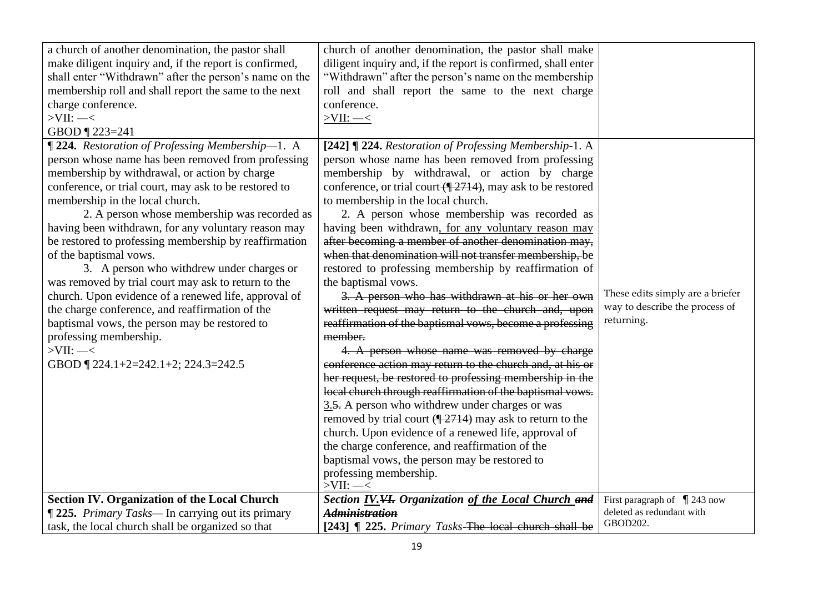| a church of another denomination, the pastor shall<br>make diligent inquiry and, if the report is confirmed,<br>shall enter "Withdrawn" after the person's name on the<br>membership roll and shall report the same to the next<br>charge conference.<br>$>$ VII: $-$ <<br>GBOD ¶ 223=241                                                                                                                                                                                                                                                                                                                                                                                                                                                                                                        | church of another denomination, the pastor shall make<br>diligent inquiry and, if the report is confirmed, shall enter<br>"Withdrawn" after the person's name on the membership<br>roll and shall report the same to the next charge<br>conference.<br>$>$ VII: $-$                                                                                                                                                                                                                                                                                                                                                                                                                                                                                                                                                                                                                                                                                                                                                                                                                                                                                                                                                                                                                                                             |                                                                                  |
|--------------------------------------------------------------------------------------------------------------------------------------------------------------------------------------------------------------------------------------------------------------------------------------------------------------------------------------------------------------------------------------------------------------------------------------------------------------------------------------------------------------------------------------------------------------------------------------------------------------------------------------------------------------------------------------------------------------------------------------------------------------------------------------------------|---------------------------------------------------------------------------------------------------------------------------------------------------------------------------------------------------------------------------------------------------------------------------------------------------------------------------------------------------------------------------------------------------------------------------------------------------------------------------------------------------------------------------------------------------------------------------------------------------------------------------------------------------------------------------------------------------------------------------------------------------------------------------------------------------------------------------------------------------------------------------------------------------------------------------------------------------------------------------------------------------------------------------------------------------------------------------------------------------------------------------------------------------------------------------------------------------------------------------------------------------------------------------------------------------------------------------------|----------------------------------------------------------------------------------|
| ¶ 224. Restoration of Professing Membership-1. A<br>person whose name has been removed from professing<br>membership by withdrawal, or action by charge<br>conference, or trial court, may ask to be restored to<br>membership in the local church.<br>2. A person whose membership was recorded as<br>having been withdrawn, for any voluntary reason may<br>be restored to professing membership by reaffirmation<br>of the baptismal vows.<br>3. A person who withdrew under charges or<br>was removed by trial court may ask to return to the<br>church. Upon evidence of a renewed life, approval of<br>the charge conference, and reaffirmation of the<br>baptismal vows, the person may be restored to<br>professing membership.<br>$>$ VII: $-$ <<br>GBOD   224.1+2=242.1+2; 224.3=242.5 | [242] ¶ 224. Restoration of Professing Membership-1. A<br>person whose name has been removed from professing<br>membership by withdrawal, or action by charge<br>conference, or trial court (12714), may ask to be restored<br>to membership in the local church.<br>2. A person whose membership was recorded as<br>having been withdrawn, for any voluntary reason may<br>after becoming a member of another denomination may,<br>when that denomination will not transfer membership, be<br>restored to professing membership by reaffirmation of<br>the baptismal vows.<br>3. A person who has withdrawn at his or her own<br>written request may return to the church and, upon<br>reaffirmation of the baptismal vows, become a professing<br>member.<br>4. A person whose name was removed by charge<br>conference action may return to the church and, at his or<br>her request, be restored to professing membership in the<br>local church through reaffirmation of the baptismal vows.<br>3.5. A person who withdrew under charges or was<br>removed by trial court $(\sqrt{2714})$ may ask to return to the<br>church. Upon evidence of a renewed life, approval of<br>the charge conference, and reaffirmation of the<br>baptismal vows, the person may be restored to<br>professing membership.<br>$>$ VII: $-$ < | These edits simply are a briefer<br>way to describe the process of<br>returning. |
| <b>Section IV. Organization of the Local Church</b><br>1225. Primary Tasks— In carrying out its primary<br>task, the local church shall be organized so that                                                                                                                                                                                                                                                                                                                                                                                                                                                                                                                                                                                                                                     | Section IV.VI. Organization of the Local Church and<br><b>Administration</b><br>[243] [ 225. Primary Tasks-The local church shall be                                                                                                                                                                                                                                                                                                                                                                                                                                                                                                                                                                                                                                                                                                                                                                                                                                                                                                                                                                                                                                                                                                                                                                                            | First paragraph of $\int$ 243 now<br>deleted as redundant with<br>GBOD202.       |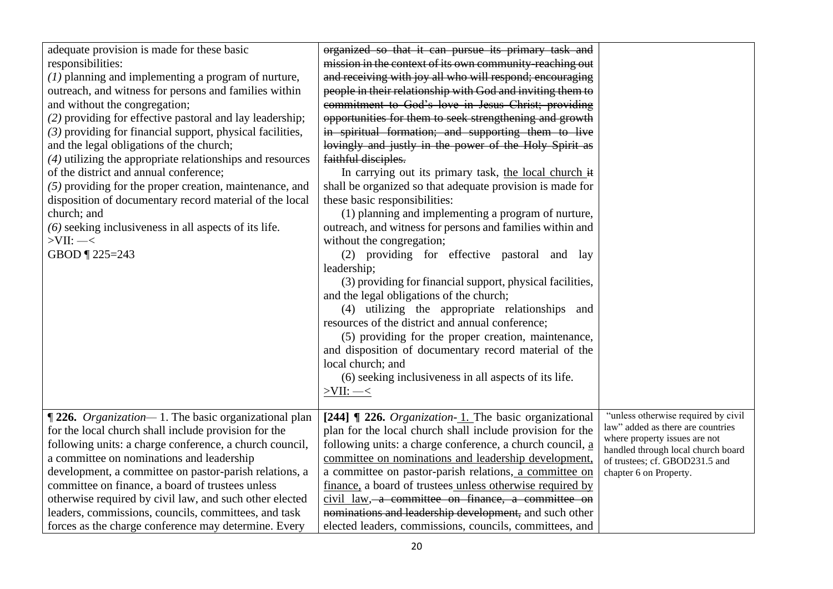| adequate provision is made for these basic<br>responsibilities:<br>$(1)$ planning and implementing a program of nurture,<br>outreach, and witness for persons and families within<br>and without the congregation;<br>(2) providing for effective pastoral and lay leadership;<br>$(3)$ providing for financial support, physical facilities,<br>and the legal obligations of the church;<br>(4) utilizing the appropriate relationships and resources<br>of the district and annual conference;<br>$(5)$ providing for the proper creation, maintenance, and<br>disposition of documentary record material of the local<br>church; and<br>$(6)$ seeking inclusiveness in all aspects of its life.<br>$>\!\!\!\mathrm{VII}\!\!:=<$<br>GBOD ¶ 225=243 | organized so that it can pursue its primary task and<br>mission in the context of its own community-reaching out<br>and receiving with joy all who will respond; encouraging<br>people in their relationship with God and inviting them to<br>commitment to God's love in Jesus Christ; providing<br>opportunities for them to seek strengthening and growth<br>in spiritual formation; and supporting them to live<br>lovingly and justly in the power of the Holy Spirit as<br>faithful disciples.<br>In carrying out its primary task, the local church it<br>shall be organized so that adequate provision is made for<br>these basic responsibilities:<br>(1) planning and implementing a program of nurture,<br>outreach, and witness for persons and families within and<br>without the congregation;<br>(2) providing for effective pastoral and lay<br>leadership;<br>(3) providing for financial support, physical facilities,<br>and the legal obligations of the church;<br>(4) utilizing the appropriate relationships and<br>resources of the district and annual conference;<br>(5) providing for the proper creation, maintenance,<br>and disposition of documentary record material of the<br>local church; and<br>(6) seeking inclusiveness in all aspects of its life.<br>$>$ VII: $-$ |                                                                                                                                                                                                             |
|------------------------------------------------------------------------------------------------------------------------------------------------------------------------------------------------------------------------------------------------------------------------------------------------------------------------------------------------------------------------------------------------------------------------------------------------------------------------------------------------------------------------------------------------------------------------------------------------------------------------------------------------------------------------------------------------------------------------------------------------------|-----------------------------------------------------------------------------------------------------------------------------------------------------------------------------------------------------------------------------------------------------------------------------------------------------------------------------------------------------------------------------------------------------------------------------------------------------------------------------------------------------------------------------------------------------------------------------------------------------------------------------------------------------------------------------------------------------------------------------------------------------------------------------------------------------------------------------------------------------------------------------------------------------------------------------------------------------------------------------------------------------------------------------------------------------------------------------------------------------------------------------------------------------------------------------------------------------------------------------------------------------------------------------------------------------------|-------------------------------------------------------------------------------------------------------------------------------------------------------------------------------------------------------------|
| 1226. Organization-1. The basic organizational plan<br>for the local church shall include provision for the<br>following units: a charge conference, a church council,<br>a committee on nominations and leadership<br>development, a committee on pastor-parish relations, a<br>committee on finance, a board of trustees unless<br>otherwise required by civil law, and such other elected<br>leaders, commissions, councils, committees, and task<br>forces as the charge conference may determine. Every                                                                                                                                                                                                                                         | [244] $\P$ 226. Organization-1. The basic organizational<br>plan for the local church shall include provision for the<br>following units: a charge conference, a church council, a<br>committee on nominations and leadership development,<br>a committee on pastor-parish relations, a committee on<br>finance, a board of trustees unless otherwise required by<br>civil law, a committee on finance, a committee on<br>nominations and leadership development, and such other<br>elected leaders, commissions, councils, committees, and                                                                                                                                                                                                                                                                                                                                                                                                                                                                                                                                                                                                                                                                                                                                                               | "unless otherwise required by civil<br>law" added as there are countries<br>where property issues are not<br>handled through local church board<br>of trustees; cf. GBOD231.5 and<br>chapter 6 on Property. |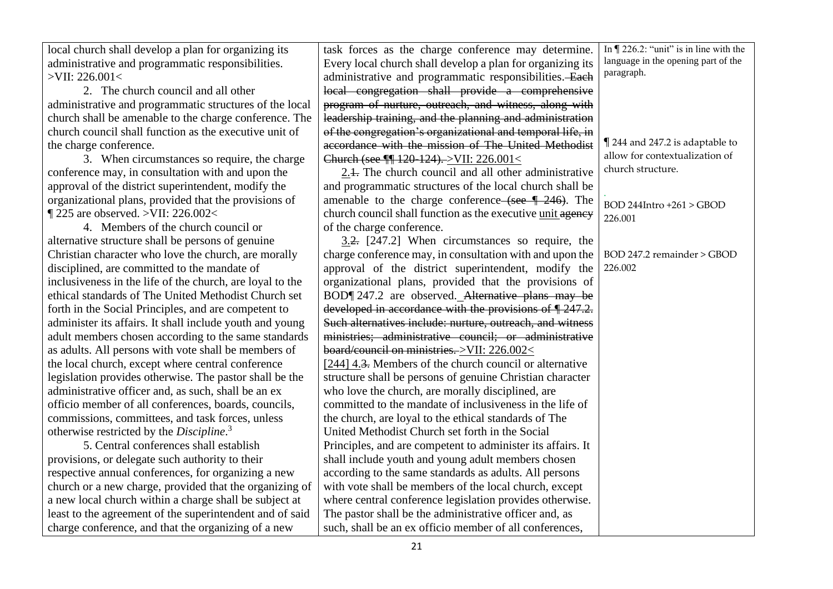local church shall develop a plan for organizing its administrative and programmatic responsibilities.  $>VII: 226.001<$ 2. The church council and all other administrative and programmatic structures of the local church shall be amenable to the charge conference. The church council shall function as the executive unit of the charge conference. 3. When circumstances so require, the charge conference may, in consultation with and upon the approval of the district superintendent, modify the organizational plans, provided that the provisions of  $\P$  225 are observed.  $>$ VII: 226.002< 4. Members of the church council or alternative structure shall be persons of genuine Christian character who love the church, are morally disciplined, are committed to the mandate of inclusiveness in the life of the church, are loyal to the ethical standards of The United Methodist Church set forth in the Social Principles, and are competent to administer its affairs. It shall include youth and young adult members chosen according to the same standards as adults. All persons with vote shall be members of the local church, except where central conference legislation provides otherwise. The pastor shall be the administrative officer and, as such, shall be an ex officio member of all conferences, boards, councils, commissions, committees, and task forces, unless otherwise restricted by the *Discipline*. 3 5. Central conferences shall establish provisions, or delegate such authority to their respective annual conferences, for organizing a new church or a new charge, provided that the organizing of a new local church within a charge shall be subject at least to the agreement of the superintendent and of said charge conference, and that the organizing of a new task forces as the charge conference may determine. Every local church shall develop a plan for organizing its administrative and programmatic responsibilities. Each local congregation shall provide a comprehensive program of nurture, outreach, and witness, along with leadership training, and the planning and administration of the congregation's organizational and temporal life, in accordance with the mission of The United Methodist Church (see ¶¶ 120-124). >VII: 226.001< 2.1. The church council and all other administrative and programmatic structures of the local church shall be amenable to the charge conference (see  $\sqrt{246}$ ). The church council shall function as the executive unit agency of the charge conference. 3.2. [247.2] When circumstances so require, the charge conference may, in consultation with and upon the approval of the district superintendent, modify the organizational plans, provided that the provisions of BOD¶ 247.2 are observed. Alternative plans may be developed in accordance with the provisions of ¶ 247.2. Such alternatives include: nurture, outreach, and witness ministries; administrative council; or administrative board/council on ministries. >VII: 226.002< [244] 4.3. Members of the church council or alternative structure shall be persons of genuine Christian character who love the church, are morally disciplined, are committed to the mandate of inclusiveness in the life of the church, are loyal to the ethical standards of The United Methodist Church set forth in the Social Principles, and are competent to administer its affairs. It shall include youth and young adult members chosen according to the same standards as adults. All persons with vote shall be members of the local church, except where central conference legislation provides otherwise. The pastor shall be the administrative officer and, as such, shall be an ex officio member of all conferences, In  $\P$  226.2: "unit" is in line with the language in the opening part of the paragraph. ¶ 244 and 247.2 is adaptable to allow for contextualization of church structure. *.*  $BOD 244$ Intro +261 > GBOD 226.001 BOD 247.2 remainder > GBOD 226.002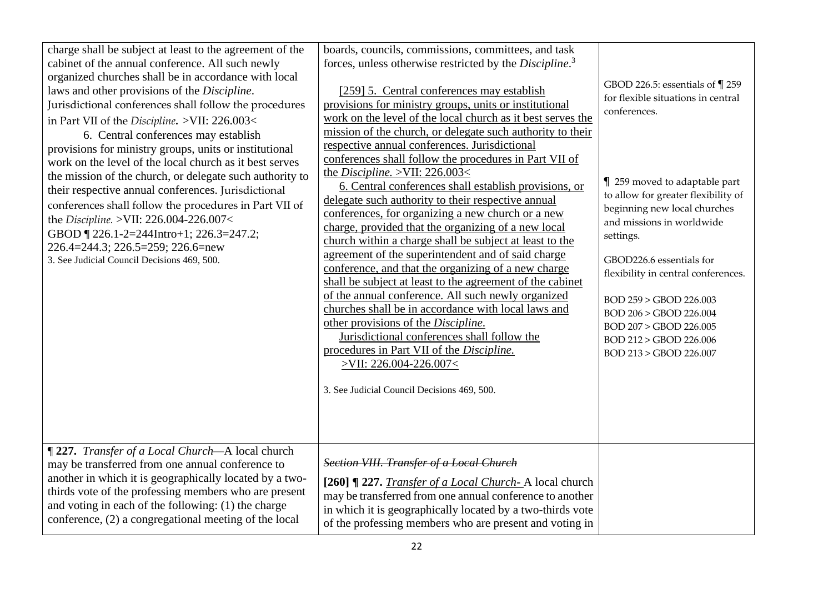| charge shall be subject at least to the agreement of the<br>cabinet of the annual conference. All such newly<br>organized churches shall be in accordance with local<br>laws and other provisions of the Discipline.<br>Jurisdictional conferences shall follow the procedures<br>in Part VII of the Discipline. >VII: 226.003<<br>6. Central conferences may establish<br>provisions for ministry groups, units or institutional | boards, councils, commissions, committees, and task<br>forces, unless otherwise restricted by the Discipline. <sup>3</sup><br>[259] 5. Central conferences may establish<br>provisions for ministry groups, units or institutional<br>work on the level of the local church as it best serves the<br>mission of the church, or delegate such authority to their<br>respective annual conferences. Jurisdictional                                                                                                                                                                                                                                                                                                                                                                                                                                                                       | GBOD 226.5: essentials of $\P$ 259<br>for flexible situations in central<br>conferences.                                                                                                                                                                                                                                                          |
|-----------------------------------------------------------------------------------------------------------------------------------------------------------------------------------------------------------------------------------------------------------------------------------------------------------------------------------------------------------------------------------------------------------------------------------|----------------------------------------------------------------------------------------------------------------------------------------------------------------------------------------------------------------------------------------------------------------------------------------------------------------------------------------------------------------------------------------------------------------------------------------------------------------------------------------------------------------------------------------------------------------------------------------------------------------------------------------------------------------------------------------------------------------------------------------------------------------------------------------------------------------------------------------------------------------------------------------|---------------------------------------------------------------------------------------------------------------------------------------------------------------------------------------------------------------------------------------------------------------------------------------------------------------------------------------------------|
| work on the level of the local church as it best serves<br>the mission of the church, or delegate such authority to<br>their respective annual conferences. Jurisdictional<br>conferences shall follow the procedures in Part VII of<br>the Discipline. >VII: 226.004-226.007<<br>GBOD   226.1-2=244Intro+1; 226.3=247.2;<br>226.4=244.3; 226.5=259; 226.6=new<br>3. See Judicial Council Decisions 469, 500.                     | conferences shall follow the procedures in Part VII of<br>the Discipline. >VII: $226.003<$<br>6. Central conferences shall establish provisions, or<br>delegate such authority to their respective annual<br>conferences, for organizing a new church or a new<br>charge, provided that the organizing of a new local<br>church within a charge shall be subject at least to the<br>agreement of the superintendent and of said charge<br>conference, and that the organizing of a new charge<br>shall be subject at least to the agreement of the cabinet<br>of the annual conference. All such newly organized<br>churches shall be in accordance with local laws and<br>other provisions of the Discipline.<br>Jurisdictional conferences shall follow the<br>procedures in Part VII of the Discipline.<br>$>$ VII: 226.004-226.007<<br>3. See Judicial Council Decisions 469, 500. | 259 moved to adaptable part<br>to allow for greater flexibility of<br>beginning new local churches<br>and missions in worldwide<br>settings.<br>GBOD226.6 essentials for<br>flexibility in central conferences.<br>BOD 259 > GBOD 226.003<br>BOD 206 > GBOD 226.004<br>BOD 207 > GBOD 226.005<br>BOD 212 > GBOD 226.006<br>BOD 213 > GBOD 226.007 |
| 1227. Transfer of a Local Church-A local church<br>may be transferred from one annual conference to<br>another in which it is geographically located by a two-<br>thirds vote of the professing members who are present<br>and voting in each of the following: (1) the charge<br>conference, (2) a congregational meeting of the local                                                                                           | <b>Section VIII. Transfer of a Local Church</b><br>[260] [27. <i>Transfer of a Local Church</i> -A local church<br>may be transferred from one annual conference to another<br>in which it is geographically located by a two-thirds vote<br>of the professing members who are present and voting in                                                                                                                                                                                                                                                                                                                                                                                                                                                                                                                                                                                   |                                                                                                                                                                                                                                                                                                                                                   |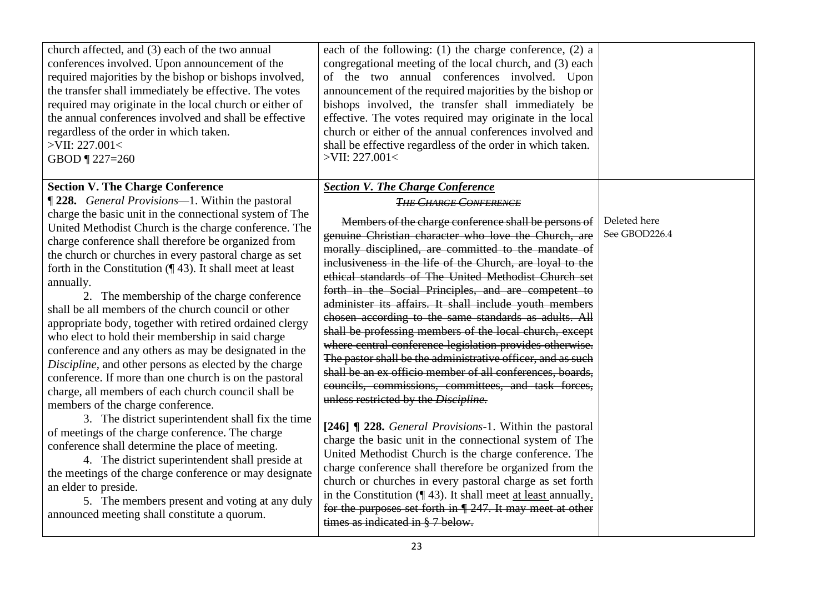| church affected, and (3) each of the two annual<br>conferences involved. Upon announcement of the<br>required majorities by the bishop or bishops involved,<br>the transfer shall immediately be effective. The votes<br>required may originate in the local church or either of<br>the annual conferences involved and shall be effective<br>regardless of the order in which taken.<br>$>$ VII: 227.001<<br>GBOD ¶ 227=260                                                                                                                                                                                                                                                                                                                                                                                                                                                                                                                                                                                                                                                                                                                                                                                                                                              | each of the following: $(1)$ the charge conference, $(2)$ a<br>congregational meeting of the local church, and (3) each<br>of the two annual conferences involved. Upon<br>announcement of the required majorities by the bishop or<br>bishops involved, the transfer shall immediately be<br>effective. The votes required may originate in the local<br>church or either of the annual conferences involved and<br>shall be effective regardless of the order in which taken.<br>$>$ VII: 227.001<                                                                                                                                                                                                                                                                                                                                                                                                                                                                                                                                                                                                                                                                                                                                                                                                                           |                               |
|---------------------------------------------------------------------------------------------------------------------------------------------------------------------------------------------------------------------------------------------------------------------------------------------------------------------------------------------------------------------------------------------------------------------------------------------------------------------------------------------------------------------------------------------------------------------------------------------------------------------------------------------------------------------------------------------------------------------------------------------------------------------------------------------------------------------------------------------------------------------------------------------------------------------------------------------------------------------------------------------------------------------------------------------------------------------------------------------------------------------------------------------------------------------------------------------------------------------------------------------------------------------------|--------------------------------------------------------------------------------------------------------------------------------------------------------------------------------------------------------------------------------------------------------------------------------------------------------------------------------------------------------------------------------------------------------------------------------------------------------------------------------------------------------------------------------------------------------------------------------------------------------------------------------------------------------------------------------------------------------------------------------------------------------------------------------------------------------------------------------------------------------------------------------------------------------------------------------------------------------------------------------------------------------------------------------------------------------------------------------------------------------------------------------------------------------------------------------------------------------------------------------------------------------------------------------------------------------------------------------|-------------------------------|
| <b>Section V. The Charge Conference</b>                                                                                                                                                                                                                                                                                                                                                                                                                                                                                                                                                                                                                                                                                                                                                                                                                                                                                                                                                                                                                                                                                                                                                                                                                                   | <b>Section V. The Charge Conference</b>                                                                                                                                                                                                                                                                                                                                                                                                                                                                                                                                                                                                                                                                                                                                                                                                                                                                                                                                                                                                                                                                                                                                                                                                                                                                                        |                               |
| <b>1228.</b> General Provisions—1. Within the pastoral<br>charge the basic unit in the connectional system of The<br>United Methodist Church is the charge conference. The<br>charge conference shall therefore be organized from<br>the church or churches in every pastoral charge as set<br>forth in the Constitution $(\P 43)$ . It shall meet at least<br>annually.<br>2. The membership of the charge conference<br>shall be all members of the church council or other<br>appropriate body, together with retired ordained clergy<br>who elect to hold their membership in said charge<br>conference and any others as may be designated in the<br>Discipline, and other persons as elected by the charge<br>conference. If more than one church is on the pastoral<br>charge, all members of each church council shall be<br>members of the charge conference.<br>3. The district superintendent shall fix the time<br>of meetings of the charge conference. The charge<br>conference shall determine the place of meeting.<br>4. The district superintendent shall preside at<br>the meetings of the charge conference or may designate<br>an elder to preside.<br>5. The members present and voting at any duly<br>announced meeting shall constitute a quorum. | <b>THE CHARGE CONFERENCE</b><br>Members of the charge conference shall be persons of<br>genuine Christian character who love the Church, are<br>morally disciplined, are committed to the mandate of<br>inclusiveness in the life of the Church, are loyal to the<br>ethical standards of The United Methodist Church set<br>forth in the Social Principles, and are competent to<br>administer its affairs. It shall include youth members<br>chosen according to the same standards as adults. All<br>shall be professing members of the local church, except<br>where central conference legislation provides otherwise.<br>The pastor shall be the administrative officer, and as such<br>shall be an ex officio member of all conferences, boards,<br>councils, commissions, committees, and task forces,<br>unless restricted by the Discipline.<br>[246] ¶ 228. General Provisions-1. Within the pastoral<br>charge the basic unit in the connectional system of The<br>United Methodist Church is the charge conference. The<br>charge conference shall therefore be organized from the<br>church or churches in every pastoral charge as set forth<br>in the Constitution (143). It shall meet at least annually.<br>for the purposes set forth in $\P$ 247. It may meet at other<br>times as indicated in § 7 below. | Deleted here<br>See GBOD226.4 |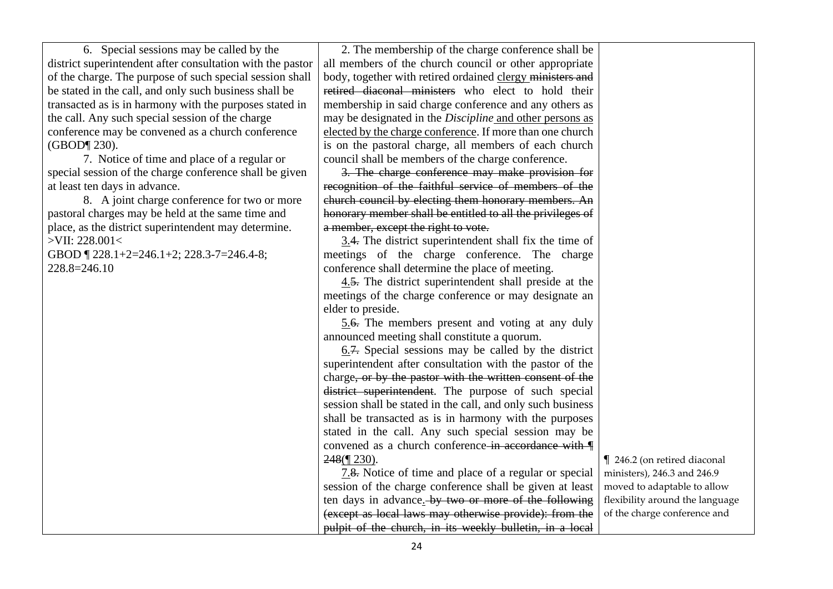6. Special sessions may be called by the district superintendent after consultation with the pastor of the charge. The purpose of such special session shall be stated in the call, and only such business shall be transacted as is in harmony with the purposes stated in the call. Any such special session of the charge conference may be convened as a church conference (GBOD¶ 230).

7. Notice of time and place of a regular or special session of the charge conference shall be given at least ten days in advance.

8. A joint charge conference for two or more pastoral charges may be held at the same time and place, as the district superintendent may determine. >VII: 228.001< GBOD ¶ 228.1+2=246.1+2; 228.3-7=246.4-8; 228.8=246.10

2. The membership of the charge conference shall be all members of the church council or other appropriate body, together with retired ordained clergy ministers and retired diaconal ministers who elect to hold their membership in said charge conference and any others as may be designated in the *Discipline* and other persons as elected by the charge conference. If more than one church is on the pastoral charge, all members of each church council shall be members of the charge conference.

3. The charge conference may make provision for recognition of the faithful service of members of the church council by electing them honorary members. An honorary member shall be entitled to all the privileges of a member, except the right to vote.

3.4. The district superintendent shall fix the time of meetings of the charge conference. The charge conference shall determine the place of meeting.

4.5. The district superintendent shall preside at the meetings of the charge conference or may designate an elder to preside.

5.6. The members present and voting at any duly announced meeting shall constitute a quorum.

6.7. Special sessions may be called by the district superintendent after consultation with the pastor of the charge, or by the pastor with the written consent of the district superintendent. The purpose of such special session shall be stated in the call, and only such business shall be transacted as is in harmony with the purposes stated in the call. Any such special session may be convened as a church conference in accordance with  $\P$ 248(¶ 230).

7.8. Notice of time and place of a regular or special session of the charge conference shall be given at least ten days in advance. by two or more of the following (except as local laws may otherwise provide): from the pulpit of the church, in its weekly bulletin, in a local

¶ 246.2 (on retired diaconal ministers), 246.3 and 246.9 moved to adaptable to allow flexibility around the language of the charge conference and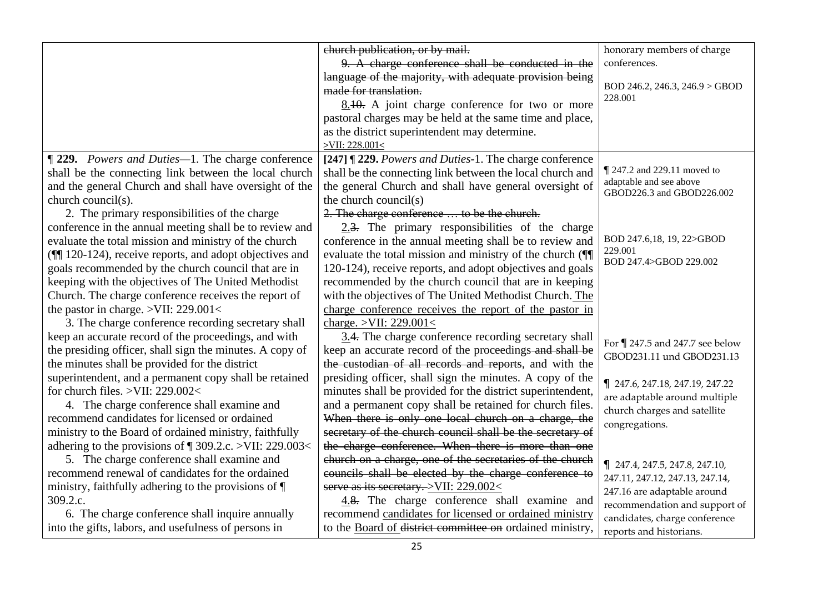|                                                              | church publication, or by mail.                                           | honorary members of charge                             |
|--------------------------------------------------------------|---------------------------------------------------------------------------|--------------------------------------------------------|
|                                                              | 9. A charge conference shall be conducted in the                          | conferences.                                           |
|                                                              | language of the majority, with adequate provision being                   |                                                        |
|                                                              | made for translation.                                                     | BOD 246.2, 246.3, 246.9 > GBOD<br>228.001              |
|                                                              | $8.10$ . A joint charge conference for two or more                        |                                                        |
|                                                              | pastoral charges may be held at the same time and place,                  |                                                        |
|                                                              | as the district superintendent may determine.                             |                                                        |
|                                                              | >VII: 228.001<                                                            |                                                        |
| <b>1229.</b> Powers and Duties-1. The charge conference      | [247] ¶ 229. Powers and Duties-1. The charge conference                   |                                                        |
| shall be the connecting link between the local church        | shall be the connecting link between the local church and                 | 1 247.2 and 229.11 moved to<br>adaptable and see above |
| and the general Church and shall have oversight of the       | the general Church and shall have general oversight of                    | GBOD226.3 and GBOD226.002                              |
| church council(s).                                           | the church council(s)                                                     |                                                        |
| 2. The primary responsibilities of the charge                | 2. The charge conference  to be the church.                               |                                                        |
| conference in the annual meeting shall be to review and      | $2.\overline{3}$ . The primary responsibilities of the charge             |                                                        |
| evaluate the total mission and ministry of the church        | conference in the annual meeting shall be to review and                   | BOD 247.6,18, 19, 22>GBOD<br>229.001                   |
| (TIMerry 120-124), receive reports, and adopt objectives and | evaluate the total mission and ministry of the church (¶                  | BOD 247.4>GBOD 229.002                                 |
| goals recommended by the church council that are in          | 120-124), receive reports, and adopt objectives and goals                 |                                                        |
| keeping with the objectives of The United Methodist          | recommended by the church council that are in keeping                     |                                                        |
| Church. The charge conference receives the report of         | with the objectives of The United Methodist Church. The                   |                                                        |
| the pastor in charge. $>$ VII: 229.001<                      | charge conference receives the report of the pastor in                    |                                                        |
| 3. The charge conference recording secretary shall           | charge. > VII: $229.001<$                                                 |                                                        |
| keep an accurate record of the proceedings, and with         | 3.4. The charge conference recording secretary shall                      | For $\P$ 247.5 and 247.7 see below                     |
| the presiding officer, shall sign the minutes. A copy of     | keep an accurate record of the proceedings-and shall be                   | GBOD231.11 und GBOD231.13                              |
| the minutes shall be provided for the district               | the custodian of all records and reports, and with the                    |                                                        |
| superintendent, and a permanent copy shall be retained       | presiding officer, shall sign the minutes. A copy of the                  | 1 247.6, 247.18, 247.19, 247.22                        |
| for church files. $>$ VII: 229.002<                          | minutes shall be provided for the district superintendent,                | are adaptable around multiple                          |
| 4. The charge conference shall examine and                   | and a permanent copy shall be retained for church files.                  | church charges and satellite                           |
| recommend candidates for licensed or ordained                | When there is only one local church on a charge, the                      | congregations.                                         |
| ministry to the Board of ordained ministry, faithfully       | secretary of the church council shall be the secretary of                 |                                                        |
| adhering to the provisions of $\P$ 309.2.c. > VII: 229.003<  | the charge conference. When there is more than one                        |                                                        |
| 5. The charge conference shall examine and                   | church on a charge, one of the secretaries of the church                  | 1 247.4, 247.5, 247.8, 247.10,                         |
| recommend renewal of candidates for the ordained             | councils shall be elected by the charge conference to                     | 247.11, 247.12, 247.13, 247.14,                        |
| ministry, faithfully adhering to the provisions of $\P$      | serve as its secretary. > VII: 229.002<                                   | 247.16 are adaptable around                            |
| 309.2.c.                                                     | 4.8. The charge conference shall examine and                              | recommendation and support of                          |
| 6. The charge conference shall inquire annually              | recommend candidates for licensed or ordained ministry                    | candidates, charge conference                          |
| into the gifts, labors, and usefulness of persons in         | to the Board of district committee on ordained ministry,<br>$\sim$ $\sim$ | reports and historians.                                |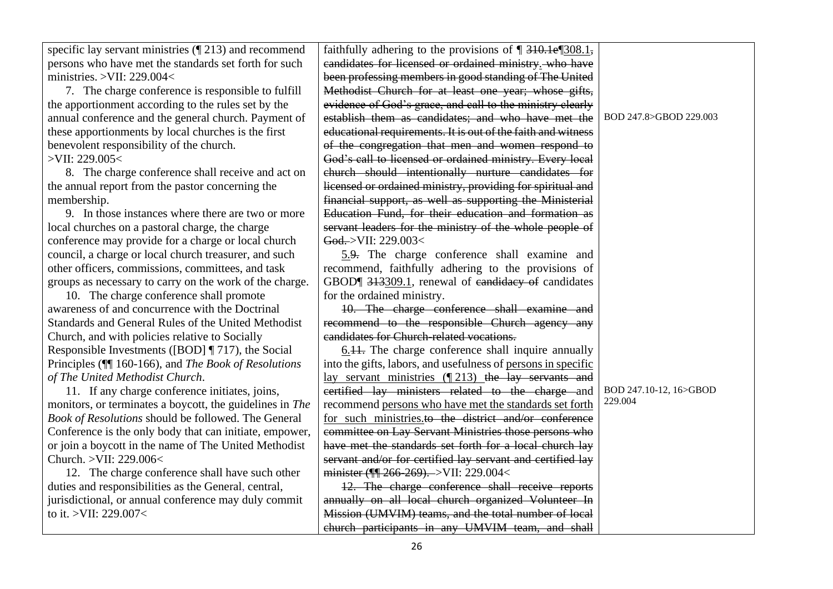| specific lay servant ministries $(\P 213)$ and recommend | faithfully adhering to the provisions of $\P$ 310.1e $\P$ 308.1, |                        |
|----------------------------------------------------------|------------------------------------------------------------------|------------------------|
| persons who have met the standards set forth for such    | candidates for licensed or ordained ministry. who have           |                        |
| ministries. >VII: 229.004<                               | been professing members in good standing of The United           |                        |
| 7. The charge conference is responsible to fulfill       | Methodist Church for at least one year; whose gifts,             |                        |
| the apportionment according to the rules set by the      | evidence of God's grace, and call to the ministry clearly        |                        |
| annual conference and the general church. Payment of     | establish them as candidates; and who have met the               | BOD 247.8>GBOD 229.003 |
| these apportionments by local churches is the first      | educational requirements. It is out of the faith and witness     |                        |
| benevolent responsibility of the church.                 | of the congregation that men and women respond to                |                        |
| >VII: 229.005<                                           | God's call to licensed or ordained ministry. Every local         |                        |
| 8. The charge conference shall receive and act on        | church should intentionally nurture candidates for               |                        |
| the annual report from the pastor concerning the         | licensed or ordained ministry, providing for spiritual and       |                        |
| membership.                                              | financial support, as well as supporting the Ministerial         |                        |
| 9. In those instances where there are two or more        | Education Fund, for their education and formation as             |                        |
| local churches on a pastoral charge, the charge          | servant leaders for the ministry of the whole people of          |                        |
| conference may provide for a charge or local church      | God. > VII: 229.003 <                                            |                        |
| council, a charge or local church treasurer, and such    | 5.9. The charge conference shall examine and                     |                        |
| other officers, commissions, committees, and task        | recommend, faithfully adhering to the provisions of              |                        |
| groups as necessary to carry on the work of the charge.  | GBOD¶ 313309.1, renewal of eandidacy of candidates               |                        |
| 10. The charge conference shall promote                  | for the ordained ministry.                                       |                        |
| awareness of and concurrence with the Doctrinal          | 10. The charge conference shall examine and                      |                        |
| Standards and General Rules of the United Methodist      | recommend to the responsible Church agency any                   |                        |
| Church, and with policies relative to Socially           | eandidates for Church-related vocations.                         |                        |
| Responsible Investments ([BOD] $\P$ 717), the Social     | $6.11$ . The charge conference shall inquire annually            |                        |
| Principles (¶ 160-166), and The Book of Resolutions      | into the gifts, labors, and usefulness of persons in specific    |                        |
| of The United Methodist Church.                          | lay servant ministries (1213) the lay servants and               |                        |
| 11. If any charge conference initiates, joins,           | certified lay ministers related to the charge and                | BOD 247.10-12, 16>GBOD |
| monitors, or terminates a boycott, the guidelines in The | recommend persons who have met the standards set forth           | 229.004                |
| Book of Resolutions should be followed. The General      | for such ministries.to the district and/or conference            |                        |
| Conference is the only body that can initiate, empower,  | committee on Lay Servant Ministries those persons who            |                        |
| or join a boycott in the name of The United Methodist    | have met the standards set forth for a local church lay          |                        |
| Church. > VII: 229.006<                                  | servant and/or for certified lay servant and certified lay       |                        |
| 12. The charge conference shall have such other          | minister (TI 266-269). > VII: 229.004<                           |                        |
| duties and responsibilities as the General, central,     | 12. The charge conference shall receive reports                  |                        |
| jurisdictional, or annual conference may duly commit     | annually on all local church organized Volunteer In              |                        |
| to it. >VII: 229.007<                                    | Mission (UMVIM) teams, and the total number of local             |                        |
|                                                          | church participants in any UMVIM team, and shall                 |                        |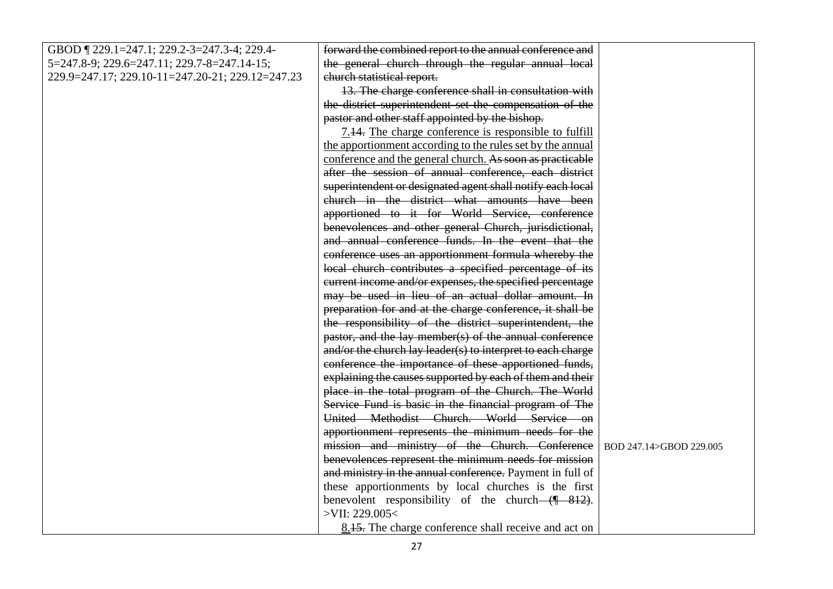| GBOD   229.1=247.1; 229.2-3=247.3-4; 229.4-      | forward the combined report to the annual conference and             |                         |
|--------------------------------------------------|----------------------------------------------------------------------|-------------------------|
| 5=247.8-9; 229.6=247.11; 229.7-8=247.14-15;      | the general church through the regular annual local                  |                         |
| 229.9=247.17; 229.10-11=247.20-21; 229.12=247.23 | church statistical report.                                           |                         |
|                                                  | 13. The charge conference shall in consultation with                 |                         |
|                                                  | the district superintendent set the compensation of the              |                         |
|                                                  | pastor and other staff appointed by the bishop.                      |                         |
|                                                  | 7.14. The charge conference is responsible to fulfill                |                         |
|                                                  | the apportionment according to the rules set by the annual           |                         |
|                                                  | conference and the general church. As soon as practicable            |                         |
|                                                  | after the session of annual conference, each district                |                         |
|                                                  | superintendent or designated agent shall notify each local           |                         |
|                                                  | church in the district what amounts have been                        |                         |
|                                                  | apportioned to it for World Service, conference                      |                         |
|                                                  | benevolences and other general Church, jurisdictional,               |                         |
|                                                  | and annual conference funds. In the event that the                   |                         |
|                                                  | conference uses an apportionment formula whereby the                 |                         |
|                                                  | local church contributes a specified percentage of its               |                         |
|                                                  | eurrent income and/or expenses, the specified percentage             |                         |
|                                                  | may be used in lieu of an actual dollar amount. In                   |                         |
|                                                  | preparation for and at the charge conference, it shall be            |                         |
|                                                  | the responsibility of the district superintendent, the               |                         |
|                                                  | pastor, and the lay member(s) of the annual conference               |                         |
|                                                  | and/or the church lay leader(s) to interpret to each charge          |                         |
|                                                  | conference the importance of these apportioned funds,                |                         |
|                                                  | explaining the causes supported by each of them and their            |                         |
|                                                  | place in the total program of the Church. The World                  |                         |
|                                                  | Service Fund is basic in the financial program of The                |                         |
|                                                  | United Methodist Church. World Service on                            |                         |
|                                                  | apportionment represents the minimum needs for the                   |                         |
|                                                  | mission and ministry of the Church. Conference                       | BOD 247.14>GBOD 229.005 |
|                                                  | benevolences represent the minimum needs for mission                 |                         |
|                                                  | and ministry in the annual conference. Payment in full of            |                         |
|                                                  | these apportionments by local churches is the first                  |                         |
|                                                  | benevolent responsibility of the church— $(\sqrt{\phantom{a}812})$ . |                         |
|                                                  | $>$ VII: 229.005 $<$                                                 |                         |
|                                                  | 8.15. The charge conference shall receive and act on                 |                         |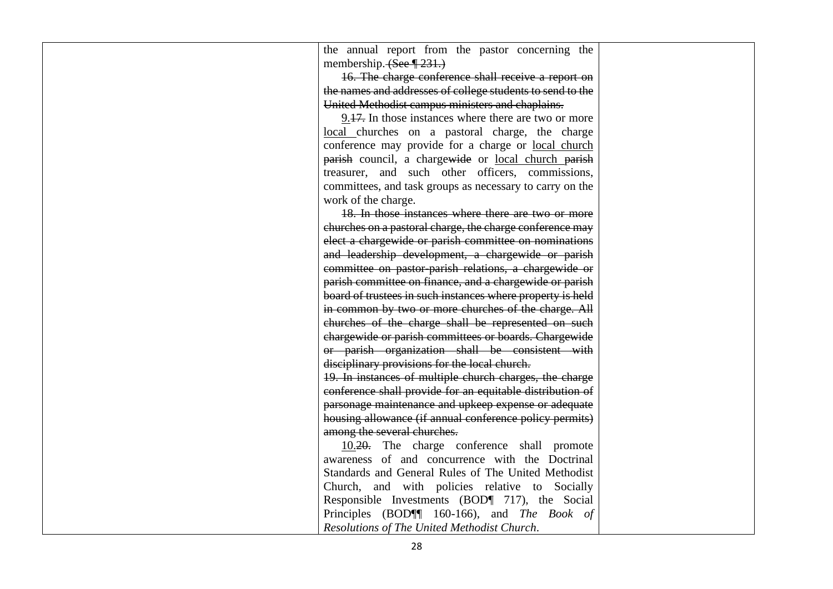the annual report from the pastor concerning the membership. (See ¶ 231.)

16. The charge conference shall receive a report on the names and addresses of college students to send to the United Methodist campus ministers and chaplains.

9.17. In those instances where there are two or more local churches on a pastoral charge, the charge conference may provide for a charge or local church parish council, a chargewide or local church parish treasurer, and such other officers, commissions, committees, and task groups as necessary to carry on the work of the charge.

18. In those instances where there are two or more churches on a pastoral charge, the charge conference may elect a chargewide or parish committee on nominations and leadership development, a chargewide or parish committee on pastor-parish relations, a chargewide or parish committee on finance, and a chargewide or parish board of trustees in such instances where property is held in common by two or more churches of the charge. All churches of the charge shall be represented on such chargewide or parish committees or boards. Chargewide or parish organization shall be consistent with disciplinary provisions for the local church.

19. In instances of multiple church charges, the charge conference shall provide for an equitable distribution of parsonage maintenance and upkeep expense or adequate housing allowance (if annual conference policy permits) among the several churches.

10.20. The charge conference shall promote awareness of and concurrence with the Doctrinal Standards and General Rules of The United Methodist Church, and with policies relative to Socially Responsible Investments (BOD¶ 717), the Social Principles (BOD¶¶ 160-166), and *The Book of Resolutions of The United Methodist Church*.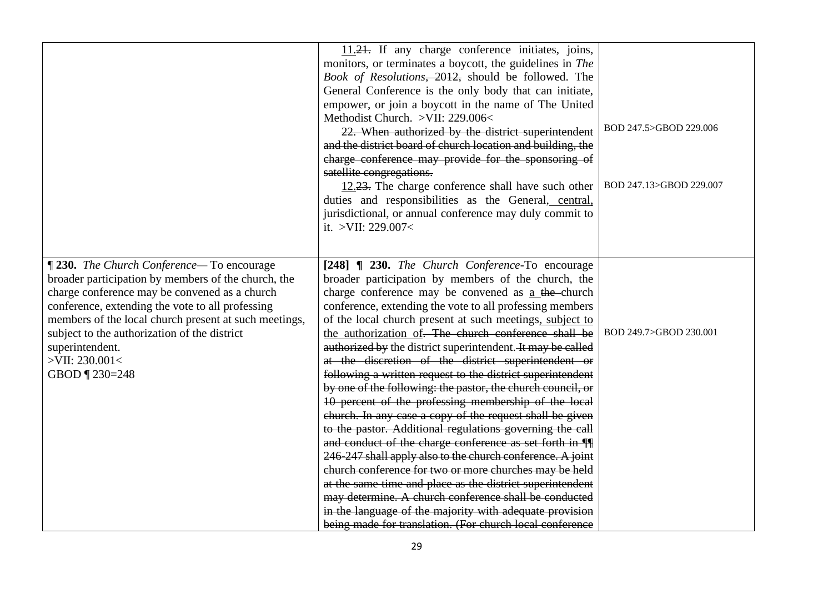|                                                                                                                                                                                                                                                                                                                                                                              | 11.24. If any charge conference initiates, joins,<br>monitors, or terminates a boycott, the guidelines in The<br>Book of Resolutions, 2012, should be followed. The<br>General Conference is the only body that can initiate,<br>empower, or join a boycott in the name of The United<br>Methodist Church. >VII: 229.006<<br>22. When authorized by the district superintendent<br>and the district board of church location and building, the<br>charge conference may provide for the sponsoring of<br>satellite congregations.<br>$12.23$ . The charge conference shall have such other<br>duties and responsibilities as the General, central,<br>jurisdictional, or annual conference may duly commit to<br>it. >VII: 229.007<                                                                                                                                                                                                                                                                                                                                                                                                                                                                            | BOD 247.5>GBOD 229.006<br>BOD 247.13>GBOD 229.007 |
|------------------------------------------------------------------------------------------------------------------------------------------------------------------------------------------------------------------------------------------------------------------------------------------------------------------------------------------------------------------------------|----------------------------------------------------------------------------------------------------------------------------------------------------------------------------------------------------------------------------------------------------------------------------------------------------------------------------------------------------------------------------------------------------------------------------------------------------------------------------------------------------------------------------------------------------------------------------------------------------------------------------------------------------------------------------------------------------------------------------------------------------------------------------------------------------------------------------------------------------------------------------------------------------------------------------------------------------------------------------------------------------------------------------------------------------------------------------------------------------------------------------------------------------------------------------------------------------------------|---------------------------------------------------|
| <b>1230.</b> The Church Conference— To encourage<br>broader participation by members of the church, the<br>charge conference may be convened as a church<br>conference, extending the vote to all professing<br>members of the local church present at such meetings,<br>subject to the authorization of the district<br>superintendent.<br>>VII: 230.001<<br>GBOD ¶ 230=248 | [248] ¶ 230. The Church Conference-To encourage<br>broader participation by members of the church, the<br>charge conference may be convened as a the-church<br>conference, extending the vote to all professing members<br>of the local church present at such meetings, subject to<br>the authorization of. The church conference shall be<br>authorized by the district superintendent. It may be called<br>at the discretion of the district superintendent or<br>following a written request to the district superintendent<br>by one of the following: the pastor, the church council, or<br>10 percent of the professing membership of the local<br>church. In any case a copy of the request shall be given<br>to the pastor. Additional regulations governing the call<br>and conduct of the charge conference as set forth in TI<br>246-247 shall apply also to the church conference. A joint<br>church conference for two or more churches may be held<br>at the same time and place as the district superintendent<br>may determine. A church conference shall be conducted<br>in the language of the majority with adequate provision<br>being made for translation. (For church local conference | BOD 249.7>GBOD 230.001                            |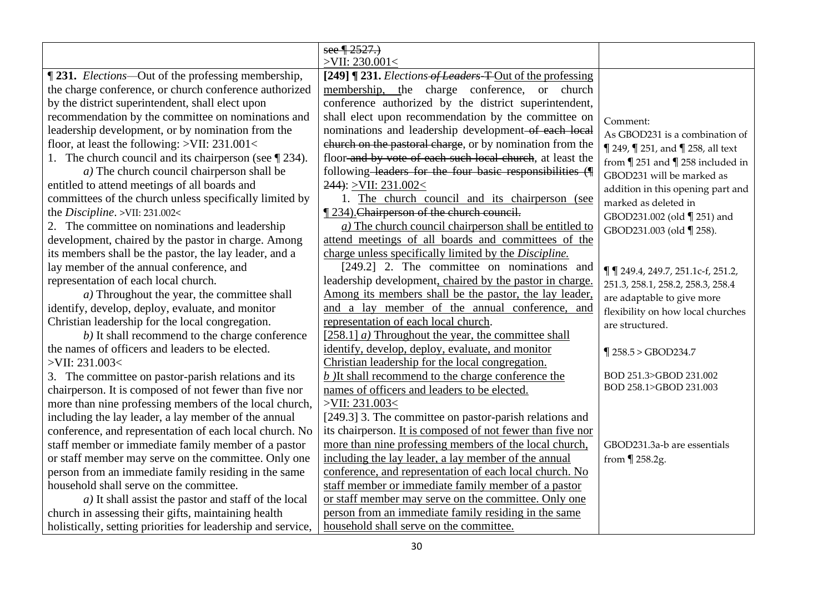|                                                                  | see $\sqrt{2527}$ .)                                       |                                            |
|------------------------------------------------------------------|------------------------------------------------------------|--------------------------------------------|
|                                                                  | $>$ VII: 230.001<                                          |                                            |
| <b>1231.</b> <i>Elections</i> —Out of the professing membership, | [249] ¶ 231. Elections of Leaders-T-Out of the professing  |                                            |
| the charge conference, or church conference authorized           | membership, the charge conference, or church               |                                            |
| by the district superintendent, shall elect upon                 | conference authorized by the district superintendent,      |                                            |
| recommendation by the committee on nominations and               | shall elect upon recommendation by the committee on        | Comment:                                   |
| leadership development, or by nomination from the                | nominations and leadership development-of each local       | As GBOD231 is a combination of             |
| floor, at least the following: >VII: 231.001<                    | church on the pastoral charge, or by nomination from the   | $\P$ 249, $\P$ 251, and $\P$ 258, all text |
| 1. The church council and its chairperson (see $\P$ 234).        | floor-and by vote of each such local church, at least the  | from $\P$ 251 and $\P$ 258 included in     |
| $a)$ The church council chairperson shall be                     | following leaders for the four basic responsibilities (    | GBOD231 will be marked as                  |
| entitled to attend meetings of all boards and                    | $244$ : $>$ VII: 231.002<                                  | addition in this opening part and          |
| committees of the church unless specifically limited by          | 1. The church council and its chairperson (see             | marked as deleted in                       |
| the Discipline. >VII: 231.002<                                   | 1234). Chairperson of the church council.                  | GBOD231.002 (old [251) and                 |
| 2. The committee on nominations and leadership                   | $a)$ The church council chairperson shall be entitled to   | GBOD231.003 (old \[ 258).                  |
| development, chaired by the pastor in charge. Among              | attend meetings of all boards and committees of the        |                                            |
| its members shall be the pastor, the lay leader, and a           | charge unless specifically limited by the Discipline.      |                                            |
| lay member of the annual conference, and                         | [249.2] 2. The committee on nominations and                | ¶ 1249.4, 249.7, 251.1c-f, 251.2,          |
| representation of each local church.                             | leadership development, chaired by the pastor in charge.   | 251.3, 258.1, 258.2, 258.3, 258.4          |
| $a)$ Throughout the year, the committee shall                    | Among its members shall be the pastor, the lay leader,     | are adaptable to give more                 |
| identify, develop, deploy, evaluate, and monitor                 | and a lay member of the annual conference, and             | flexibility on how local churches          |
| Christian leadership for the local congregation.                 | representation of each local church.                       | are structured.                            |
| b) It shall recommend to the charge conference                   | [258.1] $a)$ Throughout the year, the committee shall      |                                            |
| the names of officers and leaders to be elected.                 | identify, develop, deploy, evaluate, and monitor           | $\P$ 258.5 > GBOD234.7                     |
| $>$ VII: 231.003 $<$                                             | Christian leadership for the local congregation.           |                                            |
| 3. The committee on pastor-parish relations and its              | $b$ )It shall recommend to the charge conference the       | BOD 251.3>GBOD 231.002                     |
| chairperson. It is composed of not fewer than five nor           | names of officers and leaders to be elected.               | BOD 258.1>GBOD 231.003                     |
| more than nine professing members of the local church,           | $>$ VII: 231.003<                                          |                                            |
| including the lay leader, a lay member of the annual             | [249.3] 3. The committee on pastor-parish relations and    |                                            |
| conference, and representation of each local church. No          | its chairperson. It is composed of not fewer than five nor |                                            |
| staff member or immediate family member of a pastor              | more than nine professing members of the local church,     | GBOD231.3a-b are essentials                |
| or staff member may serve on the committee. Only one             | including the lay leader, a lay member of the annual       | from $\P$ 258.2g.                          |
| person from an immediate family residing in the same             | conference, and representation of each local church. No    |                                            |
| household shall serve on the committee.                          | staff member or immediate family member of a pastor        |                                            |
| $a)$ It shall assist the pastor and staff of the local           | or staff member may serve on the committee. Only one       |                                            |
| church in assessing their gifts, maintaining health              | person from an immediate family residing in the same       |                                            |
| holistically, setting priorities for leadership and service,     | household shall serve on the committee.                    |                                            |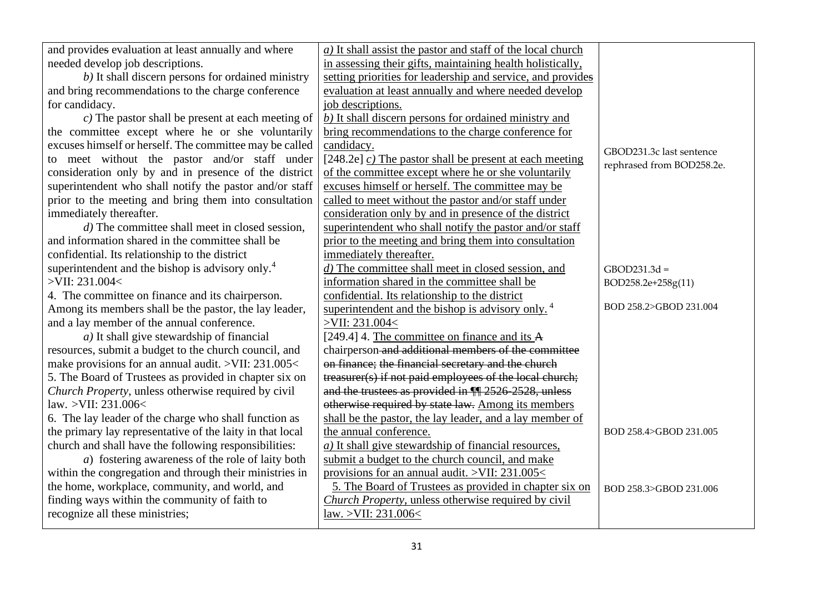| and provides evaluation at least annually and where          | $a)$ It shall assist the pastor and staff of the local church |                           |
|--------------------------------------------------------------|---------------------------------------------------------------|---------------------------|
| needed develop job descriptions.                             | in assessing their gifts, maintaining health holistically,    |                           |
| $b$ ) It shall discern persons for ordained ministry         | setting priorities for leadership and service, and provides   |                           |
| and bring recommendations to the charge conference           | evaluation at least annually and where needed develop         |                           |
| for candidacy.                                               | job descriptions.                                             |                           |
| $c$ ) The pastor shall be present at each meeting of         | b) It shall discern persons for ordained ministry and         |                           |
| the committee except where he or she voluntarily             | bring recommendations to the charge conference for            |                           |
| excuses himself or herself. The committee may be called      | candidacy.                                                    | GBOD231.3c last sentence  |
| to meet without the pastor and/or staff under                | [248.2e] $c$ ) The pastor shall be present at each meeting    |                           |
| consideration only by and in presence of the district        | of the committee except where he or she voluntarily           | rephrased from BOD258.2e. |
| superintendent who shall notify the pastor and/or staff      | excuses himself or herself. The committee may be              |                           |
| prior to the meeting and bring them into consultation        | called to meet without the pastor and/or staff under          |                           |
| immediately thereafter.                                      | consideration only by and in presence of the district         |                           |
| $d$ ) The committee shall meet in closed session,            | superintendent who shall notify the pastor and/or staff       |                           |
| and information shared in the committee shall be             | prior to the meeting and bring them into consultation         |                           |
| confidential. Its relationship to the district               | immediately thereafter.                                       |                           |
| superintendent and the bishop is advisory only. <sup>4</sup> | d) The committee shall meet in closed session, and            | $GBOD231.3d =$            |
| >VII: 231.004<                                               | information shared in the committee shall be                  | BOD258.2e+258g(11)        |
| 4. The committee on finance and its chairperson.             | confidential. Its relationship to the district                |                           |
| Among its members shall be the pastor, the lay leader,       | superintendent and the bishop is advisory only. <sup>4</sup>  | BOD 258.2>GBOD 231.004    |
| and a lay member of the annual conference.                   | >VII: 231.004<                                                |                           |
| $a)$ It shall give stewardship of financial                  | [249.4] 4. The committee on finance and its A                 |                           |
| resources, submit a budget to the church council, and        | chairperson-and additional members of the committee           |                           |
| make provisions for an annual audit. >VII: 231.005<          | on finance; the financial secretary and the church            |                           |
| 5. The Board of Trustees as provided in chapter six on       | treasurer(s) if not paid employees of the local church;       |                           |
| Church Property, unless otherwise required by civil          | and the trustees as provided in $\P$ 2526-2528, unless        |                           |
| law. >VII: 231.006<                                          | otherwise required by state law. Among its members            |                           |
| 6. The lay leader of the charge who shall function as        | shall be the pastor, the lay leader, and a lay member of      |                           |
| the primary lay representative of the laity in that local    | the annual conference.                                        | BOD 258.4>GBOD 231.005    |
| church and shall have the following responsibilities:        | a) It shall give stewardship of financial resources,          |                           |
| a) fostering awareness of the role of laity both             | submit a budget to the church council, and make               |                           |
| within the congregation and through their ministries in      | provisions for an annual audit. >VII: 231.005<                |                           |
| the home, workplace, community, and world, and               | 5. The Board of Trustees as provided in chapter six on        | BOD 258.3>GBOD 231.006    |
| finding ways within the community of faith to                | Church Property, unless otherwise required by civil           |                           |
| recognize all these ministries;                              | law. >VII: 231.006<                                           |                           |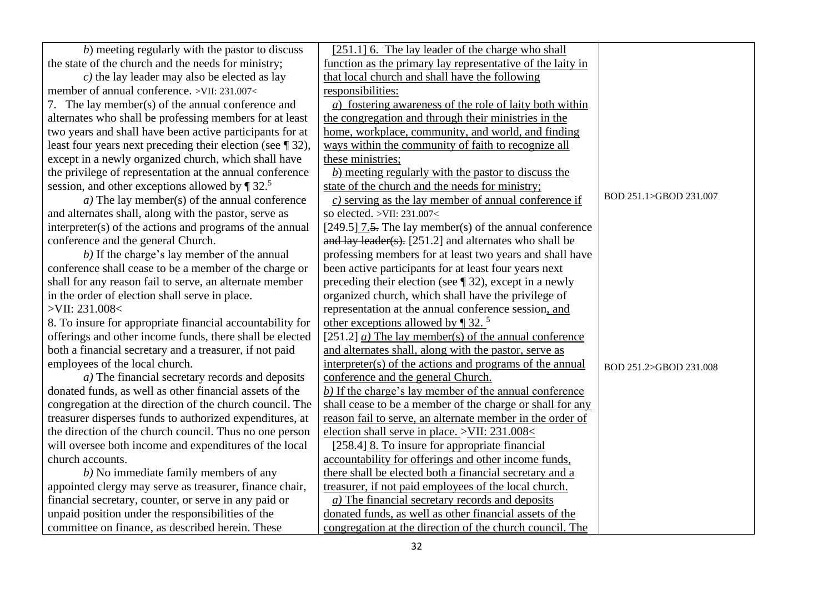| b) meeting regularly with the pastor to discuss                | [251.1] 6. The lay leader of the charge who shall              |                        |
|----------------------------------------------------------------|----------------------------------------------------------------|------------------------|
| the state of the church and the needs for ministry;            | function as the primary lay representative of the laity in     |                        |
| $c$ ) the lay leader may also be elected as lay                | that local church and shall have the following                 |                        |
| member of annual conference. >VII: 231.007<                    | responsibilities:                                              |                        |
| 7. The lay member(s) of the annual conference and              | a) fostering awareness of the role of laity both within        |                        |
| alternates who shall be professing members for at least        | the congregation and through their ministries in the           |                        |
| two years and shall have been active participants for at       | home, workplace, community, and world, and finding             |                        |
| least four years next preceding their election (see $\P$ 32),  | ways within the community of faith to recognize all            |                        |
| except in a newly organized church, which shall have           | these ministries;                                              |                        |
| the privilege of representation at the annual conference       | b) meeting regularly with the pastor to discuss the            |                        |
| session, and other exceptions allowed by $\P$ 32. <sup>5</sup> | state of the church and the needs for ministry;                |                        |
| $a)$ The lay member(s) of the annual conference                | $\epsilon$ ) serving as the lay member of annual conference if | BOD 251.1>GBOD 231.007 |
| and alternates shall, along with the pastor, serve as          | so elected. >VII: 231.007<                                     |                        |
| interpreter(s) of the actions and programs of the annual       | $[249.5]$ 7.5. The lay member(s) of the annual conference      |                        |
| conference and the general Church.                             | and lay leader(s). [251.2] and alternates who shall be         |                        |
| b) If the charge's lay member of the annual                    | professing members for at least two years and shall have       |                        |
| conference shall cease to be a member of the charge or         | been active participants for at least four years next          |                        |
| shall for any reason fail to serve, an alternate member        | preceding their election (see $\P$ 32), except in a newly      |                        |
| in the order of election shall serve in place.                 | organized church, which shall have the privilege of            |                        |
| >VII: 231.008<                                                 | representation at the annual conference session, and           |                        |
| 8. To insure for appropriate financial accountability for      | other exceptions allowed by $\P$ 32. <sup>5</sup>              |                        |
| offerings and other income funds, there shall be elected       | [251.2] $a)$ The lay member(s) of the annual conference        |                        |
| both a financial secretary and a treasurer, if not paid        | and alternates shall, along with the pastor, serve as          |                        |
| employees of the local church.                                 | interpreter(s) of the actions and programs of the annual       | BOD 251.2>GBOD 231.008 |
| $a)$ The financial secretary records and deposits              | conference and the general Church.                             |                        |
| donated funds, as well as other financial assets of the        | $(b)$ If the charge's lay member of the annual conference      |                        |
| congregation at the direction of the church council. The       | shall cease to be a member of the charge or shall for any      |                        |
| treasurer disperses funds to authorized expenditures, at       | reason fail to serve, an alternate member in the order of      |                        |
| the direction of the church council. Thus no one person        | election shall serve in place. >VII: 231.008<                  |                        |
| will oversee both income and expenditures of the local         | [258.4] 8. To insure for appropriate financial                 |                        |
| church accounts.                                               | accountability for offerings and other income funds,           |                        |
| $b)$ No immediate family members of any                        | there shall be elected both a financial secretary and a        |                        |
| appointed clergy may serve as treasurer, finance chair,        | treasurer, if not paid employees of the local church.          |                        |
| financial secretary, counter, or serve in any paid or          | $a)$ The financial secretary records and deposits              |                        |
| unpaid position under the responsibilities of the              | donated funds, as well as other financial assets of the        |                        |
| committee on finance, as described herein. These               | congregation at the direction of the church council. The       |                        |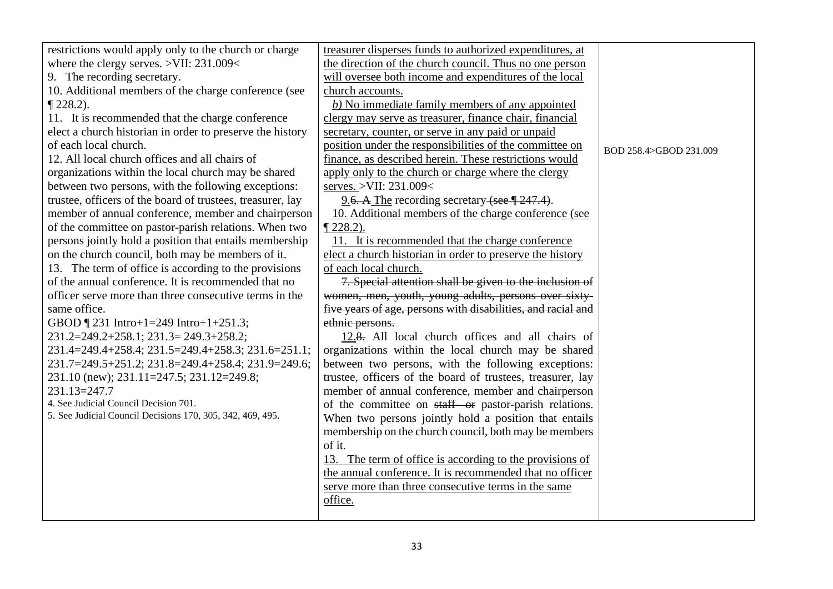| restrictions would apply only to the church or charge      | treasurer disperses funds to authorized expenditures, at     |                        |
|------------------------------------------------------------|--------------------------------------------------------------|------------------------|
| where the clergy serves. $>$ VII: 231.009 $<$              | the direction of the church council. Thus no one person      |                        |
| 9. The recording secretary.                                | will oversee both income and expenditures of the local       |                        |
| 10. Additional members of the charge conference (see       | church accounts.                                             |                        |
| $\P$ 228.2).                                               | b) No immediate family members of any appointed              |                        |
| 11. It is recommended that the charge conference           | clergy may serve as treasurer, finance chair, financial      |                        |
| elect a church historian in order to preserve the history  | secretary, counter, or serve in any paid or unpaid           |                        |
| of each local church.                                      | position under the responsibilities of the committee on      | BOD 258.4>GBOD 231.009 |
| 12. All local church offices and all chairs of             | finance, as described herein. These restrictions would       |                        |
| organizations within the local church may be shared        | apply only to the church or charge where the clergy          |                        |
| between two persons, with the following exceptions:        | serves. > VII: 231.009<                                      |                        |
| trustee, officers of the board of trustees, treasurer, lay | 9.6. A The recording secretary (see $\P$ 247.4).             |                        |
| member of annual conference, member and chairperson        | 10. Additional members of the charge conference (see         |                        |
| of the committee on pastor-parish relations. When two      | $\P$ 228.2).                                                 |                        |
| persons jointly hold a position that entails membership    | 11. It is recommended that the charge conference             |                        |
| on the church council, both may be members of it.          | elect a church historian in order to preserve the history    |                        |
| 13. The term of office is according to the provisions      | of each local church.                                        |                        |
| of the annual conference. It is recommended that no        | 7. Special attention shall be given to the inclusion of      |                        |
| officer serve more than three consecutive terms in the     | women, men, youth, young adults, persons over sixty-         |                        |
| same office.                                               | five years of age, persons with disabilities, and racial and |                        |
| GBOD $\sqrt{231}$ Intro+1=249 Intro+1+251.3;               | ethnic persons.                                              |                        |
| $231.2=249.2+258.1$ ; $231.3=249.3+258.2$ ;                | 12.8. All local church offices and all chairs of             |                        |
| 231.4=249.4+258.4; 231.5=249.4+258.3; 231.6=251.1;         | organizations within the local church may be shared          |                        |
| 231.7=249.5+251.2; 231.8=249.4+258.4; 231.9=249.6;         | between two persons, with the following exceptions:          |                        |
| 231.10 (new); 231.11=247.5; 231.12=249.8;                  | trustee, officers of the board of trustees, treasurer, lay   |                        |
| $231.13 = 247.7$                                           | member of annual conference, member and chairperson          |                        |
| 4. See Judicial Council Decision 701.                      | of the committee on staff- or pastor-parish relations.       |                        |
| 5. See Judicial Council Decisions 170, 305, 342, 469, 495. | When two persons jointly hold a position that entails        |                        |
|                                                            | membership on the church council, both may be members        |                        |
|                                                            | of it.                                                       |                        |
|                                                            | 13. The term of office is according to the provisions of     |                        |
|                                                            | the annual conference. It is recommended that no officer     |                        |
|                                                            | serve more than three consecutive terms in the same          |                        |
|                                                            | office.                                                      |                        |
|                                                            |                                                              |                        |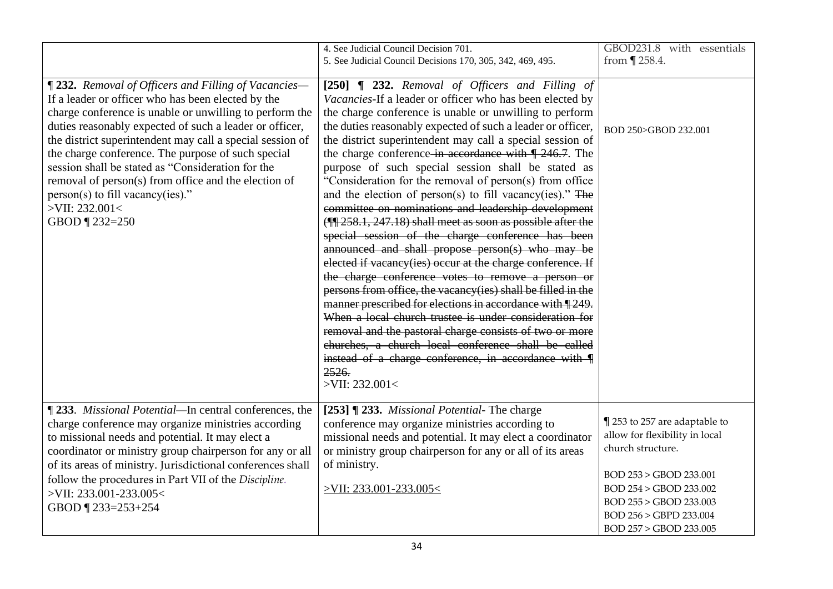|                                                                                                                                                                                                                                                                                                                                                                                                                                                                                                                                                   | 4. See Judicial Council Decision 701.<br>5. See Judicial Council Decisions 170, 305, 342, 469, 495.                                                                                                                                                                                                                                                                                                                                                                                                                                                                                                                                                                                                                                                                                                                                                                                                                                                                                                                                                                                                                                                                                                                                                                                                           | GBOD231.8 with essentials<br>from ¶258.4.                                                                                                                                                                              |
|---------------------------------------------------------------------------------------------------------------------------------------------------------------------------------------------------------------------------------------------------------------------------------------------------------------------------------------------------------------------------------------------------------------------------------------------------------------------------------------------------------------------------------------------------|---------------------------------------------------------------------------------------------------------------------------------------------------------------------------------------------------------------------------------------------------------------------------------------------------------------------------------------------------------------------------------------------------------------------------------------------------------------------------------------------------------------------------------------------------------------------------------------------------------------------------------------------------------------------------------------------------------------------------------------------------------------------------------------------------------------------------------------------------------------------------------------------------------------------------------------------------------------------------------------------------------------------------------------------------------------------------------------------------------------------------------------------------------------------------------------------------------------------------------------------------------------------------------------------------------------|------------------------------------------------------------------------------------------------------------------------------------------------------------------------------------------------------------------------|
| <b>[232.</b> Removal of Officers and Filling of Vacancies-<br>If a leader or officer who has been elected by the<br>charge conference is unable or unwilling to perform the<br>duties reasonably expected of such a leader or officer,<br>the district superintendent may call a special session of<br>the charge conference. The purpose of such special<br>session shall be stated as "Consideration for the<br>removal of person(s) from office and the election of<br>person(s) to fill vacancy(ies)."<br>$>$ VII: 232.001<<br>GBOD ¶ 232=250 | [250] $\blacksquare$ 232. Removal of Officers and Filling of<br>Vacancies-If a leader or officer who has been elected by<br>the charge conference is unable or unwilling to perform<br>the duties reasonably expected of such a leader or officer,<br>the district superintendent may call a special session of<br>the charge conference in accordance with $\sqrt{246.7}$ . The<br>purpose of such special session shall be stated as<br>"Consideration for the removal of person(s) from office<br>and the election of person(s) to fill vacancy(ies)." The<br>committee on nominations and leadership development<br>(TI 258.1, 247.18) shall meet as soon as possible after the<br>special session of the charge conference has been<br>announced and shall propose person(s) who may be<br>elected if vacancy(ies) occur at the charge conference. If<br>the charge conference votes to remove a person or<br>persons from office, the vacancy(ies) shall be filled in the<br>manner prescribed for elections in accordance with [249.<br>When a local church trustee is under consideration for<br>removal and the pastoral charge consists of two or more<br>churches, a church local conference shall be called<br>instead of a charge conference, in accordance with ¶<br>2526.<br>$>$ VII: 232.001< | BOD 250>GBOD 232.001                                                                                                                                                                                                   |
| ¶ 233. <i>Missional Potential</i> —In central conferences, the<br>charge conference may organize ministries according<br>to missional needs and potential. It may elect a<br>coordinator or ministry group chairperson for any or all<br>of its areas of ministry. Jurisdictional conferences shall<br>follow the procedures in Part VII of the Discipline.<br>>VII: 233.001-233.005<<br>GBOD 1233=253+254                                                                                                                                        | [253] ¶ 233. Missional Potential-The charge<br>conference may organize ministries according to<br>missional needs and potential. It may elect a coordinator<br>or ministry group chairperson for any or all of its areas<br>of ministry.<br>$>$ VII: 233.001-233.005<                                                                                                                                                                                                                                                                                                                                                                                                                                                                                                                                                                                                                                                                                                                                                                                                                                                                                                                                                                                                                                         | 1 253 to 257 are adaptable to<br>allow for flexibility in local<br>church structure.<br>BOD 253 > GBOD 233.001<br>BOD 254 > GBOD 233.002<br>BOD 255 > GBOD 233.003<br>BOD 256 > GBPD 233.004<br>BOD 257 > GBOD 233.005 |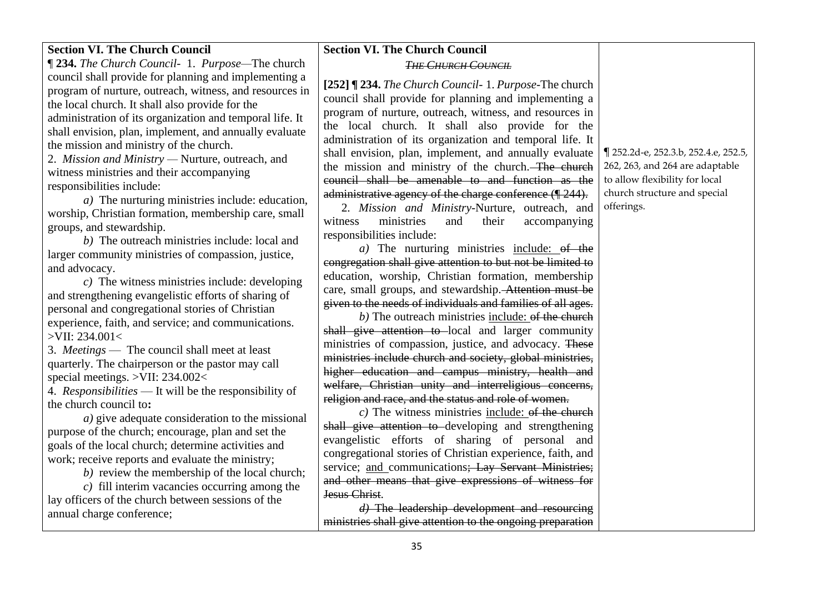| <b>Section VI. The Church Council</b> |  |
|---------------------------------------|--|
|---------------------------------------|--|

¶ **234.** *The Church Council-* 1. *Purpose—*The church council shall provide for planning and implementing a program of nurture, outreach, witness, and resources in the local church. It shall also provide for the administration of its organization and temporal life. It shall envision, plan, implement, and annually evaluate the mission and ministry of the church.

2. *Mission and Ministry —* Nurture, outreach, and witness ministries and their accompanying responsibilities include:

*a)* The nurturing ministries include: education, worship, Christian formation, membership care, small groups, and stewardship.

*b)* The outreach ministries include: local and larger community ministries of compassion, justice, and advocacy.

*c)* The witness ministries include: developing and strengthening evangelistic efforts of sharing of personal and congregational stories of Christian experience, faith, and service; and communications.  $>$ VII: 234.001<

3. *Meetings* — The council shall meet at least quarterly. The chairperson or the pastor may call special meetings. >VII: 234.002<

4. *Responsibilities* — It will be the responsibility of the church council to**:**

*a)* give adequate consideration to the missional purpose of the church; encourage, plan and set the goals of the local church; determine activities and work; receive reports and evaluate the ministry;

*b)* review the membership of the local church;

*c)* fill interim vacancies occurring among the lay officers of the church between sessions of the annual charge conference;

## **Section VI. The Church Council**

*THE CHURCH COUNCIL*

**[252] ¶ 234.** *The Church Council-* 1. *Purpose-*The church council shall provide for planning and implementing a program of nurture, outreach, witness, and resources in the local church. It shall also provide for the administration of its organization and temporal life. It shall envision, plan, implement, and annually evaluate the mission and ministry of the church. The church council shall be amenable to and function as the administrative agency of the charge conference (¶ 244).

2. *Mission and Ministry-*Nurture, outreach, and witness ministries and their accompanying responsibilities include:

*a)* The nurturing ministries include: of the congregation shall give attention to but not be limited to education, worship, Christian formation, membership care, small groups, and stewardship. Attention must be given to the needs of individuals and families of all ages.

*b*) The outreach ministries include: of the church shall give attention to local and larger community ministries of compassion, justice, and advocacy. These ministries include church and society, global ministries, higher education and campus ministry, health and welfare, Christian unity and interreligious concerns, religion and race, and the status and role of women.

*c*) The witness ministries include: of the church shall give attention to developing and strengthening evangelistic efforts of sharing of personal and congregational stories of Christian experience, faith, and service; and communications; Lay Servant Ministries; and other means that give expressions of witness for Jesus Christ.

*d)* The leadership development and resourcing ministries shall give attention to the ongoing preparation

¶ 252.2d-e, 252.3.b, 252.4.e, 252.5, 262, 263, and 264 are adaptable to allow flexibility for local church structure and special offerings.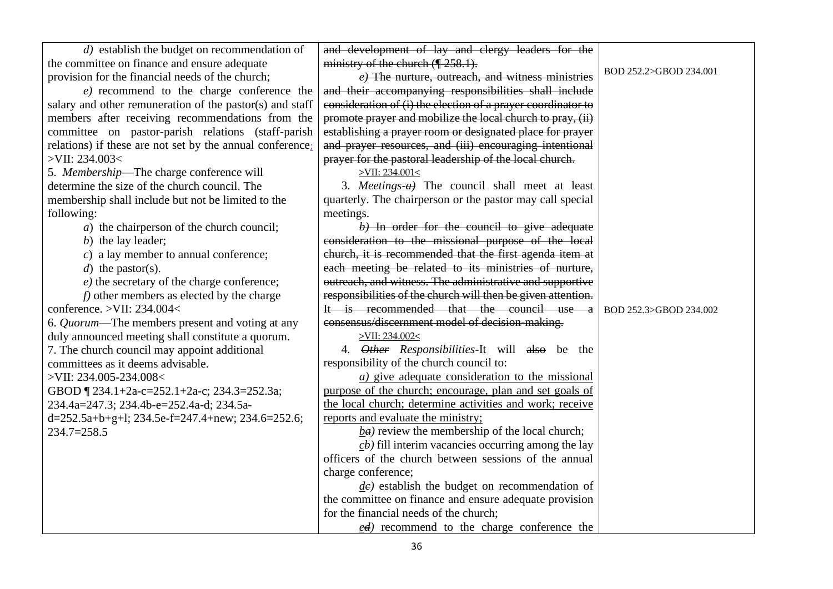| $d)$ establish the budget on recommendation of            | and development of lay and clergy leaders for the             |                        |
|-----------------------------------------------------------|---------------------------------------------------------------|------------------------|
| the committee on finance and ensure adequate              | ministry of the church $(\sqrt{\frac{258.1}{1}})$ .           |                        |
| provision for the financial needs of the church;          | $e$ ) The nurture, outreach, and witness ministries           | BOD 252.2>GBOD 234.001 |
| $e$ ) recommend to the charge conference the              | and their accompanying responsibilities shall include         |                        |
| salary and other remuneration of the pastor(s) and staff  | consideration of (i) the election of a prayer coordinator to  |                        |
| members after receiving recommendations from the          | promote prayer and mobilize the local church to pray, (ii)    |                        |
| committee on pastor-parish relations (staff-parish        | establishing a prayer room or designated place for prayer     |                        |
| relations) if these are not set by the annual conference. | and prayer resources, and (iii) encouraging intentional       |                        |
| >VII: 234.003<                                            | prayer for the pastoral leadership of the local church.       |                        |
| 5. Membership-The charge conference will                  | $>$ VII: 234.001<                                             |                        |
| determine the size of the church council. The             | 3. <i>Meetings-a</i> ) The council shall meet at least        |                        |
| membership shall include but not be limited to the        | quarterly. The chairperson or the pastor may call special     |                        |
| following:                                                | meetings.                                                     |                        |
| $a)$ the chairperson of the church council;               | $b)$ In order for the council to give adequate                |                        |
| b) the lay leader;                                        | consideration to the missional purpose of the local           |                        |
| $c)$ a lay member to annual conference;                   | church, it is recommended that the first agenda item at       |                        |
| $d)$ the pastor(s).                                       | each meeting be related to its ministries of nurture,         |                        |
| $e$ ) the secretary of the charge conference;             | outreach, and witness. The administrative and supportive      |                        |
| $f$ ) other members as elected by the charge              | responsibilities of the church will then be given attention.  |                        |
| conference. > VII: 234.004<                               | It is recommended that the council use a                      | BOD 252.3>GBOD 234.002 |
| 6. Quorum—The members present and voting at any           | consensus/discernment model of decision-making.               |                        |
| duly announced meeting shall constitute a quorum.         | $>$ VII: 234.002<                                             |                        |
| 7. The church council may appoint additional              | 4. Other Responsibilities-It will also be the                 |                        |
| committees as it deems advisable.                         | responsibility of the church council to:                      |                        |
| >VII: 234.005-234.008<                                    | <i>a</i> ) give adequate consideration to the missional       |                        |
| GBOD   234.1+2a-c=252.1+2a-c; 234.3=252.3a;               | purpose of the church; encourage, plan and set goals of       |                        |
| 234.4a=247.3; 234.4b-e=252.4a-d; 234.5a-                  | the local church; determine activities and work; receive      |                        |
| d=252.5a+b+g+l; 234.5e-f=247.4+new; 234.6=252.6;          | reports and evaluate the ministry;                            |                        |
| 234.7=258.5                                               | $\underline{ba}$ ) review the membership of the local church; |                        |
|                                                           | $\angle$ (b) fill interim vacancies occurring among the lay   |                        |
|                                                           | officers of the church between sessions of the annual         |                        |
|                                                           | charge conference;                                            |                        |
|                                                           | $de$ ) establish the budget on recommendation of              |                        |
|                                                           | the committee on finance and ensure adequate provision        |                        |
|                                                           | for the financial needs of the church;                        |                        |
|                                                           | <i>ed</i> ) recommend to the charge conference the            |                        |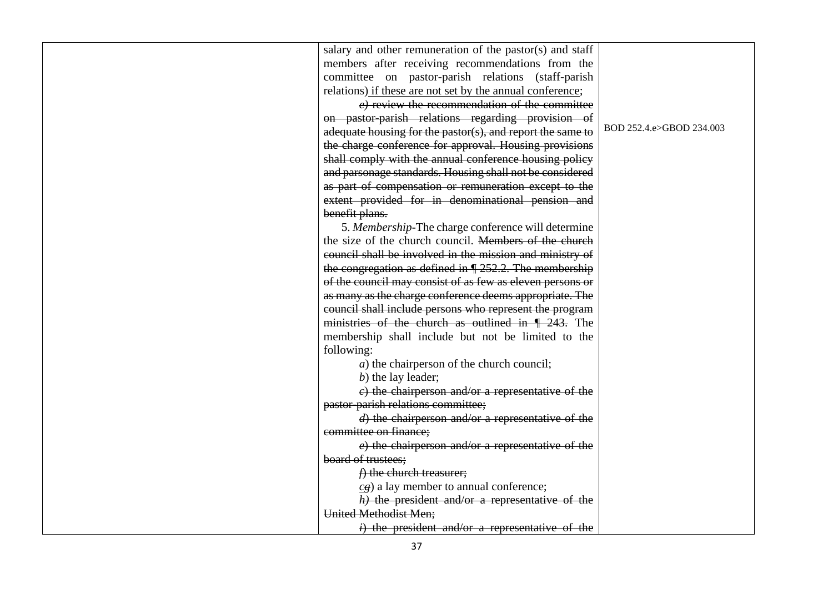| salary and other remuneration of the pastor(s) and staff<br>members after receiving recommendations from the<br>committee on pastor-parish relations (staff-parish<br>relations) if these are not set by the annual conference;<br>$e$ ) review the recommendation of the committee<br>on pastor-parish relations regarding provision of<br>BOD 252.4.e>GBOD 234.003<br>adequate housing for the pastor(s), and report the same to<br>the charge conference for approval. Housing provisions<br>shall comply with the annual conference housing policy<br>and parsonage standards. Housing shall not be considered<br>as part of compensation or remuneration except to the<br>extent provided for in denominational pension and<br>benefit plans.<br>5. Membership-The charge conference will determine<br>the size of the church council. Members of the church<br>council shall be involved in the mission and ministry of<br>the congregation as defined in $\P$ 252.2. The membership<br>of the council may consist of as few as eleven persons or<br>as many as the charge conference deems appropriate. The<br>council shall include persons who represent the program<br>ministries of the church as outlined in $\P$ 243. The<br>membership shall include but not be limited to the<br>following:<br>$a)$ the chairperson of the church council; |
|-----------------------------------------------------------------------------------------------------------------------------------------------------------------------------------------------------------------------------------------------------------------------------------------------------------------------------------------------------------------------------------------------------------------------------------------------------------------------------------------------------------------------------------------------------------------------------------------------------------------------------------------------------------------------------------------------------------------------------------------------------------------------------------------------------------------------------------------------------------------------------------------------------------------------------------------------------------------------------------------------------------------------------------------------------------------------------------------------------------------------------------------------------------------------------------------------------------------------------------------------------------------------------------------------------------------------------------------------------------|
|                                                                                                                                                                                                                                                                                                                                                                                                                                                                                                                                                                                                                                                                                                                                                                                                                                                                                                                                                                                                                                                                                                                                                                                                                                                                                                                                                           |
|                                                                                                                                                                                                                                                                                                                                                                                                                                                                                                                                                                                                                                                                                                                                                                                                                                                                                                                                                                                                                                                                                                                                                                                                                                                                                                                                                           |
|                                                                                                                                                                                                                                                                                                                                                                                                                                                                                                                                                                                                                                                                                                                                                                                                                                                                                                                                                                                                                                                                                                                                                                                                                                                                                                                                                           |
|                                                                                                                                                                                                                                                                                                                                                                                                                                                                                                                                                                                                                                                                                                                                                                                                                                                                                                                                                                                                                                                                                                                                                                                                                                                                                                                                                           |
|                                                                                                                                                                                                                                                                                                                                                                                                                                                                                                                                                                                                                                                                                                                                                                                                                                                                                                                                                                                                                                                                                                                                                                                                                                                                                                                                                           |
|                                                                                                                                                                                                                                                                                                                                                                                                                                                                                                                                                                                                                                                                                                                                                                                                                                                                                                                                                                                                                                                                                                                                                                                                                                                                                                                                                           |
|                                                                                                                                                                                                                                                                                                                                                                                                                                                                                                                                                                                                                                                                                                                                                                                                                                                                                                                                                                                                                                                                                                                                                                                                                                                                                                                                                           |
|                                                                                                                                                                                                                                                                                                                                                                                                                                                                                                                                                                                                                                                                                                                                                                                                                                                                                                                                                                                                                                                                                                                                                                                                                                                                                                                                                           |
|                                                                                                                                                                                                                                                                                                                                                                                                                                                                                                                                                                                                                                                                                                                                                                                                                                                                                                                                                                                                                                                                                                                                                                                                                                                                                                                                                           |
|                                                                                                                                                                                                                                                                                                                                                                                                                                                                                                                                                                                                                                                                                                                                                                                                                                                                                                                                                                                                                                                                                                                                                                                                                                                                                                                                                           |
|                                                                                                                                                                                                                                                                                                                                                                                                                                                                                                                                                                                                                                                                                                                                                                                                                                                                                                                                                                                                                                                                                                                                                                                                                                                                                                                                                           |
|                                                                                                                                                                                                                                                                                                                                                                                                                                                                                                                                                                                                                                                                                                                                                                                                                                                                                                                                                                                                                                                                                                                                                                                                                                                                                                                                                           |
|                                                                                                                                                                                                                                                                                                                                                                                                                                                                                                                                                                                                                                                                                                                                                                                                                                                                                                                                                                                                                                                                                                                                                                                                                                                                                                                                                           |
|                                                                                                                                                                                                                                                                                                                                                                                                                                                                                                                                                                                                                                                                                                                                                                                                                                                                                                                                                                                                                                                                                                                                                                                                                                                                                                                                                           |
|                                                                                                                                                                                                                                                                                                                                                                                                                                                                                                                                                                                                                                                                                                                                                                                                                                                                                                                                                                                                                                                                                                                                                                                                                                                                                                                                                           |
|                                                                                                                                                                                                                                                                                                                                                                                                                                                                                                                                                                                                                                                                                                                                                                                                                                                                                                                                                                                                                                                                                                                                                                                                                                                                                                                                                           |
|                                                                                                                                                                                                                                                                                                                                                                                                                                                                                                                                                                                                                                                                                                                                                                                                                                                                                                                                                                                                                                                                                                                                                                                                                                                                                                                                                           |
|                                                                                                                                                                                                                                                                                                                                                                                                                                                                                                                                                                                                                                                                                                                                                                                                                                                                                                                                                                                                                                                                                                                                                                                                                                                                                                                                                           |
|                                                                                                                                                                                                                                                                                                                                                                                                                                                                                                                                                                                                                                                                                                                                                                                                                                                                                                                                                                                                                                                                                                                                                                                                                                                                                                                                                           |
|                                                                                                                                                                                                                                                                                                                                                                                                                                                                                                                                                                                                                                                                                                                                                                                                                                                                                                                                                                                                                                                                                                                                                                                                                                                                                                                                                           |
|                                                                                                                                                                                                                                                                                                                                                                                                                                                                                                                                                                                                                                                                                                                                                                                                                                                                                                                                                                                                                                                                                                                                                                                                                                                                                                                                                           |
|                                                                                                                                                                                                                                                                                                                                                                                                                                                                                                                                                                                                                                                                                                                                                                                                                                                                                                                                                                                                                                                                                                                                                                                                                                                                                                                                                           |
|                                                                                                                                                                                                                                                                                                                                                                                                                                                                                                                                                                                                                                                                                                                                                                                                                                                                                                                                                                                                                                                                                                                                                                                                                                                                                                                                                           |
|                                                                                                                                                                                                                                                                                                                                                                                                                                                                                                                                                                                                                                                                                                                                                                                                                                                                                                                                                                                                                                                                                                                                                                                                                                                                                                                                                           |
| b) the lay leader;                                                                                                                                                                                                                                                                                                                                                                                                                                                                                                                                                                                                                                                                                                                                                                                                                                                                                                                                                                                                                                                                                                                                                                                                                                                                                                                                        |
| $\epsilon$ ) the chairperson and/or a representative of the                                                                                                                                                                                                                                                                                                                                                                                                                                                                                                                                                                                                                                                                                                                                                                                                                                                                                                                                                                                                                                                                                                                                                                                                                                                                                               |
| pastor-parish relations committee;                                                                                                                                                                                                                                                                                                                                                                                                                                                                                                                                                                                                                                                                                                                                                                                                                                                                                                                                                                                                                                                                                                                                                                                                                                                                                                                        |
| $d$ ) the chairperson and/or a representative of the                                                                                                                                                                                                                                                                                                                                                                                                                                                                                                                                                                                                                                                                                                                                                                                                                                                                                                                                                                                                                                                                                                                                                                                                                                                                                                      |
| committee on finance;                                                                                                                                                                                                                                                                                                                                                                                                                                                                                                                                                                                                                                                                                                                                                                                                                                                                                                                                                                                                                                                                                                                                                                                                                                                                                                                                     |
| $e$ ) the chairperson and/or a representative of the                                                                                                                                                                                                                                                                                                                                                                                                                                                                                                                                                                                                                                                                                                                                                                                                                                                                                                                                                                                                                                                                                                                                                                                                                                                                                                      |
| board of trustees;                                                                                                                                                                                                                                                                                                                                                                                                                                                                                                                                                                                                                                                                                                                                                                                                                                                                                                                                                                                                                                                                                                                                                                                                                                                                                                                                        |
| $f$ ) the church treasurer;                                                                                                                                                                                                                                                                                                                                                                                                                                                                                                                                                                                                                                                                                                                                                                                                                                                                                                                                                                                                                                                                                                                                                                                                                                                                                                                               |
| $\epsilon$ g) a lay member to annual conference;                                                                                                                                                                                                                                                                                                                                                                                                                                                                                                                                                                                                                                                                                                                                                                                                                                                                                                                                                                                                                                                                                                                                                                                                                                                                                                          |
| $h$ ) the president and/or a representative of the                                                                                                                                                                                                                                                                                                                                                                                                                                                                                                                                                                                                                                                                                                                                                                                                                                                                                                                                                                                                                                                                                                                                                                                                                                                                                                        |
| United Methodist Men;                                                                                                                                                                                                                                                                                                                                                                                                                                                                                                                                                                                                                                                                                                                                                                                                                                                                                                                                                                                                                                                                                                                                                                                                                                                                                                                                     |
| $i)$ the president and/or a representative of the                                                                                                                                                                                                                                                                                                                                                                                                                                                                                                                                                                                                                                                                                                                                                                                                                                                                                                                                                                                                                                                                                                                                                                                                                                                                                                         |